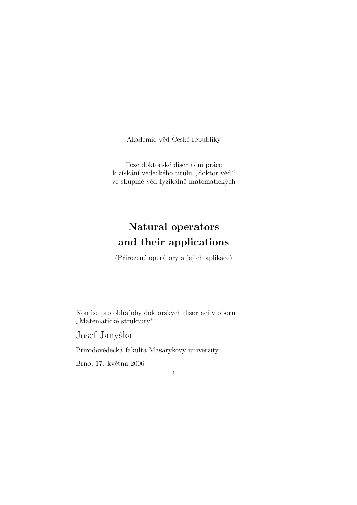Akademie věd České republiky

Teze doktorské disertační práce k získání vědeckého titulu "doktor věd" ve skupině věd fyzikálně-matematických

# Natural operators and their applications

(Přirozené operátory a jejich aplikace)

1

Komise pro obhajoby doktorských disertací v oboru " Matematické struktury"

Josef Janyška

Přírodovědecká fakulta Masarykovy univerzity

Brno, 17. května 2006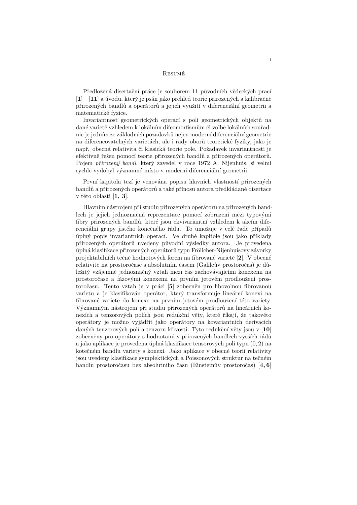### **RESUMÉ**

Předložená disertační práce je souborem 11 původních vědeckých prací  $[1] - [11]$  a úvodu, který je psán jako přehled teorie přirozených a kalibračně přirozených bandlů a operátorů a jejich využití v diferenciální geometrii a matematické fyzice.

Invariantnost geometrických operací s poli geometrických objektů na dané varietě vzhledem k lokálním difeomorfismům či volbě lokálních souřadnic je jedním ze základních požadavků nejen moderní diferenciální geometrie na diferencovatelných varietách, ale i řady oborů teoretické fyziky, jako je např. obecná relativita či klasická teorie pole. Požadavek invariantnosti je efektivně řešen pomocí teorie přirozených bandlů a přirozených operátorů. Pojem přirozený bandl, který zavedel v roce 1972 A. Nijenhuis, si velmi rychle vydobyl významné místo v moderní diferenciální geometrii.

První kapitola tezí je věnována popisu hlavních vlastností přirozených bandlů a přirozených operátorů a také přínosu autora předkládané disertace v této oblasti [1, 3].

Hlavním nástrojem při studiu přirozených operátorů na přirozených bandlech je jejich jednoznačná reprezentace pomocí zobrazení mezi typovými fibry přirozených bandlů, které jsou ekvivariantní vzhledem k akcím diferenciální grupy jistého konečného řádu. To umožuje v celé řadě případů úplný popis invariantních operací. Ve druhé kapitole jsou jako příklady přirozených operátorů uvedeny původní výsledky autora. Je provedena úplná klasifikace přirozených operátorů typu Frölicher-Nijenhuisovy závorky projektabilních tečně hodnotových forem na fibrované varietě [2]. V obecné relativitě na prostoročase s absolutním časem (Galileův prostoročas) je důležitý vzájemně jednoznačný vztah mezi čas zachovávajícími konexemi na prostoročase a fázovými konexemi na prvním jetovém prodloužení prostoročasu. Tento vztah je v práci <br/> [5] zobecněn pro libovolnou fibrovanou varietu a je klasifikován operátor, který transformuje lineární konexi na fibrované varietě do konexe na prvním jetovém prodloužení této variety. Významným nástrojem při studiu přirozených operátorů na lineárních konexích a tenzorových polích jsou redukční věty, které říkají, že takovéto operátory je možno vyjádřit jako operátory na kovariantních derivacích daných tenzorových polí a tenzoru křivosti. Tyto redukční věty jsou v  $[10]$ zobecněny pro operátory s hodnotami v přirozených bandlech vyšších řádů a jako aplikace je provedena úplná klasifikace tensorových polítypu  $(0, 2)$  na kotečném bandlu variety s konexí. Jako aplikace v obecné teorii relativity jsou uvedeny klasifikace symplektických a Poissonových struktur na tečném bandlu prostoročasu bez absolutního času (Einsteinův prostoročas) [4,6]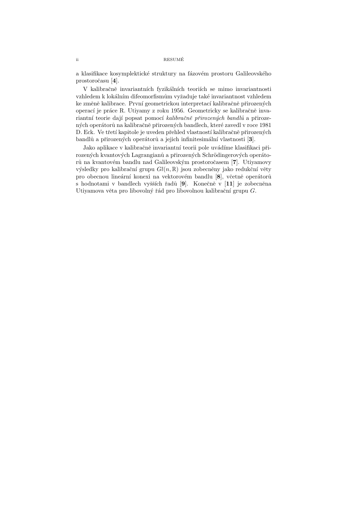a klasifikace kosymplektické struktury na fázovém prostoru Galileovského prostoroˇcasu [4].

V kalibračně invariantních fyzikálních teoriích se mimo invariantnosti vzhledem k lokálním difeomorfismům vyžaduje také invariantnost vzhledem ke změně kalibrace. První geometrickou interpretací kalibračně přirozených operací je práce R. Utiyamy z roku 1956. Geometricky se kalibračně invariantní teorie dají popsat pomocí kalibračně přirozených bandlů a přirozených operátorů na kalibračně přirozených bandlech, které zavedl v roce 1981 D. Eck. Ve třetí kapitole je uveden přehled vlastností kalibračně přirozených bandlů a přirozených operátorů a jejich infinitesimální vlastnosti [3].

Jako aplikace v kalibračně invariantní teorii pole uvádíme klasifikaci přirozených kvantových Lagrangianů a přirozených Schrödingerových operátorů na kvantovém bandlu nad Galileovským prostoročasem [7]. Utiyamovy výsledky pro kalibrační grupu  $Gl(n, \mathbb{R})$  jsou zobecněny jako redukční věty pro obecnou lineární konexi na vektorovém bandlu [8], včetně operátorů s hodnotami v bandlech vyšších řadů  $[9]$ . Konečně v  $[11]$  je zobecněna Utiyamova věta pro libovolný řád pro libovolnou kalibrační grupu  $G$ .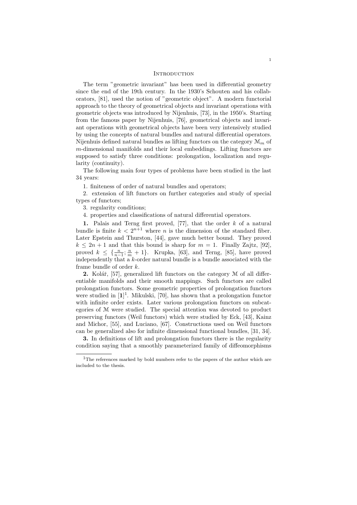#### **INTRODUCTION**

The term "geometric invariant" has been used in differential geometry since the end of the 19th century. In the 1930's Schouten and his collaborators, [81], used the notion of "geometric object". A modern functorial approach to the theory of geometrical objects and invariant operations with geometric objects was introduced by Nijenhuis, [73], in the 1950's. Starting from the famous paper by Nijenhuis, [76], geometrical objects and invariant operations with geometrical objects have been very intensively studied by using the concepts of natural bundles and natural differential operators. Nijenhuis defined natural bundles as lifting functors on the category  $\mathcal{M}_m$  of m-dimensional manifolds and their local embeddings. Lifting functors are supposed to satisfy three conditions: prolongation, localization and regularity (continuity).

The following main four types of problems have been studied in the last 34 years:

1. finiteness of order of natural bundles and operators;

2. extension of lift functors on further categories and study of special types of functors;

3. regularity conditions;

4. properties and classifications of natural differential operators.

1. Palais and Terng first proved, [77], that the order  $k$  of a natural bundle is finite  $k < 2^{n+1}$  where n is the dimension of the standard fiber. Later Epstein and Thurston, [44], gave much better bound. They proved  $k \leq 2n + 1$  and that this bound is sharp for  $m = 1$ . Finally Zajtz, [92], proved  $k \leq {\frac{n}{n-1}; \frac{n}{m} + 1}$ . Krupka, [63], and Terng, [85], have proved independently that a  $k$ -order natural bundle is a bundle associated with the frame bundle of order k.

2. Kolář,  $[57]$ , generalized lift functors on the category  $M$  of all differentiable manifolds and their smooth mappings. Such functors are called prolongation functors. Some geometric properties of prolongation functors were studied in  $[1]^1$ . Mikulski, [70], has shown that a prolongation functor with infinite order exists. Later various prolongation functors on subcategories of M were studied. The special attention was devoted to product preserving functors (Weil functors) which were studied by Eck, [43], Kainz and Michor, [55], and Luciano, [67]. Constructions used on Weil functors can be generalized also for infinite dimensional functional bundles, [31, 34].

3. In definitions of lift and prolongation functors there is the regularity condition saying that a smoothly parameterized family of diffeomorphisms

 $\rm ^1The$  references marked by bold numbers refer to the papers of the author which are included to the thesis.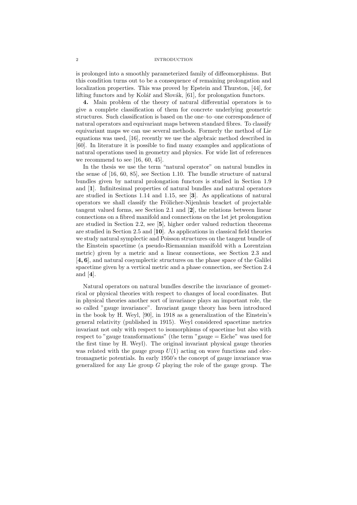### 2 INTRODUCTION

is prolonged into a smoothly parameterized family of diffeomorphisms. But this condition turns out to be a consequence of remaining prolongation and localization properties. This was proved by Epstein and Thurston, [44], for lifting functors and by Kolář and Slovák, [61], for prolongation functors.

4. Main problem of the theory of natural differential operators is to give a complete classification of them for concrete underlying geometric structures. Such classification is based on the one–to–one correspondence of natural operators and equivariant maps between standard fibres. To classify equivariant maps we can use several methods. Formerly the method of Lie equations was used, [16], recently we use the algebraic method described in [60]. In literature it is possible to find many examples and applications of natural operations used in geometry and physics. For wide list of references we recommend to see [16, 60, 45].

In the thesis we use the term "natural operator" on natural bundles in the sense of [16, 60, 85], see Section 1.10. The bundle structure of natural bundles given by natural prolongation functors is studied in Section 1.9 and [1]. Infinitesimal properties of natural bundles and natural operators are studied in Sections 1.14 and 1.15, see [3]. As applications of natural operators we shall classify the Frölicher-Nijenhuis bracket of projectable tangent valued forms, see Section 2.1 and [2], the relations between linear connections on a fibred manifold and connections on the 1st jet prolongation are studied in Section 2.2, see [5], higher order valued reduction theorems are studied in Section 2.5 and [10]. As applications in classical field theories we study natural symplectic and Poisson structures on the tangent bundle of the Einstein spacetime (a pseudo-Riemannian manifold with a Lorentzian metric) given by a metric and a linear connections, see Section 2.3 and [4, 6], and natural cosymplectic structures on the phase space of the Galilei spacetime given by a vertical metric and a phase connection, see Section 2.4 and [4].

Natural operators on natural bundles describe the invariance of geometrical or physical theories with respect to changes of local coordinates. But in physical theories another sort of invariance plays an important role, the so called "gauge invariance". Invariant gauge theory has been introduced in the book by H. Weyl, [90], in 1918 as a generalization of the Einstein's general relativity (published in 1915). Weyl considered spacetime metrics invariant not only with respect to isomorphisms of spacetime but also with respect to "gauge transformations" (the term "gauge = Eiche" was used for the first time by H. Weyl). The original invariant physical gauge theories was related with the gauge group  $U(1)$  acting on wave functions and electromagnetic potentials. In early 1950's the concept of gauge invariance was generalized for any Lie group  $G$  playing the role of the gauge group. The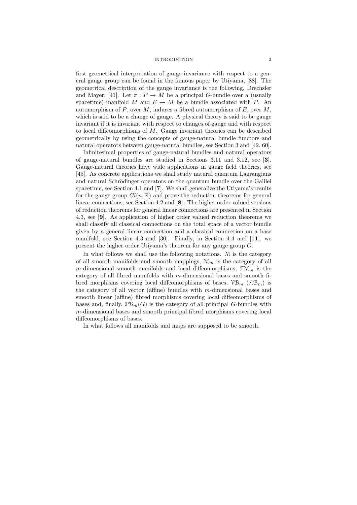#### INTRODUCTION 3

first geometrical interpretation of gauge invariance with respect to a general gauge group can be found in the famous paper by Utiyama, [88]. The geometrical description of the gauge invariance is the following, Drechsler and Mayer, [41]. Let  $\pi : P \to M$  be a principal G-bundle over a (usually spacetime) manifold M and  $E \to M$  be a bundle associated with P. An automorphism of P, over M, induces a fibred automorphism of  $E$ , over M, which is said to be a change of gauge. A physical theory is said to be gauge invariant if it is invariant with respect to changes of gauge and with respect to local diffeomorphisms of  $M$ . Gauge invariant theories can be described geometrically by using the concepts of gauge-natural bundle functors and natural operators between gauge-natural bundles, see Section 3 and [42, 60].

Infinitesimal properties of gauge-natural bundles and natural operators of gauge-natural bundles are studied in Sections 3.11 and 3.12, see [3]. Gauge-natural theories have wide applications in gauge field theories, see [45]. As concrete applications we shall study natural quantum Lagrangians and natural Schrödinger operators on the quantum bundle over the Galilei spacetime, see Section 4.1 and [7]. We shall generalize the Utiyama's results for the gauge group  $Gl(n,\mathbb{R})$  and prove the reduction theorems for general linear connections, see Section 4.2 and [8]. The higher order valued versions of reduction theorems for general linear connections are presented in Section 4.3, see [9]. As application of higher order valued reduction theorems we shall classify all classical connections on the total space of a vector bundle given by a general linear connection and a classical connection on a base manifold, see Section 4.3 and [30]. Finally, in Section 4.4 and [11], we present the higher order Utiyama's theorem for any gauge group G.

In what follows we shall use the following notations. M is the category of all smooth manifolds and smooth mappings,  $\mathcal{M}_m$  is the category of all m-dimensional smooth manifolds and local diffeomorphisms,  $\mathfrak{F}M_m$  is the category of all fibred manifolds with m-dimensional bases and smooth fibred morphisms covering local diffeomorphisms of bases,  $\mathcal{VB}_m$  ( $\mathcal{AB}_m$ ) is the category of all vector (affine) bundles with  $m$ -dimensional bases and smooth linear (affine) fibred morphisms covering local diffeomorphisms of bases and, finally,  $\mathcal{PB}_m(G)$  is the category of all principal G-bundles with m-dimensional bases and smooth principal fibred morphisms covering local diffeomorphisms of bases.

In what follows all manifolds and maps are supposed to be smooth.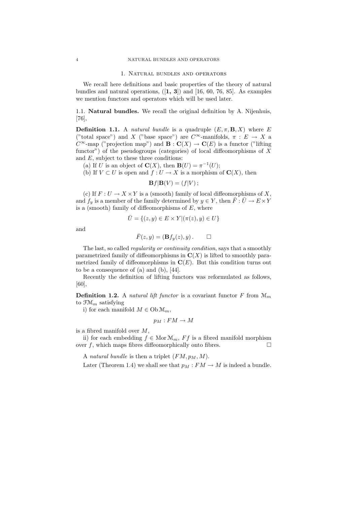#### 1. Natural bundles and operators

We recall here definitions and basic properties of the theory of natural bundles and natural operations,  $([1, 3])$  and  $[16, 60, 76, 85]$ . As examples we mention functors and operators which will be used later.

1.1. Natural bundles. We recall the original definition by A. Nijenhuis, [76],

**Definition 1.1.** A *natural bundle* is a quadruple  $(E, \pi, \mathbf{B}, X)$  where E ("total space") and X ("base space") are  $C^{\infty}$ -manifolds,  $\pi : E \to X$  a  $C^{\infty}$ -map ("projection map") and  $\mathbf{B} : \mathbf{C}(X) \to \mathbf{C}(E)$  is a functor ("lifting functor") of the pseudogroups (categories) of local diffeomorphisms of  $X$ and E, subject to these three conditions:

(a) If U is an object of  $\mathbf{C}(X)$ , then  $\mathbf{B}(U) = \pi^{-1}(U);$ 

(b) If  $V \subset U$  is open and  $f: U \to X$  is a morphism of  $\mathbf{C}(X)$ , then

$$
\mathbf{B}f|\mathbf{B}(V)=(f|V);
$$

(c) If  $F: U \to X \times Y$  is a (smooth) family of local diffeomorphisms of X, and  $f_y$  is a member of the family determined by  $y \in Y$ , then  $\overline{F} : \overline{U} \to E \times Y$ is a (smooth) family of diffeomorphisms of  $E$ , where

$$
\overline{U} = \{(z, y) \in E \times Y | (\pi(z), y) \in U \}
$$

and

$$
\bar{F}(z,y) = (\mathbf{B}f_y(z), y) . \qquad \Box
$$

The last, so called regularity or continuity condition, says that a smoothly parametrized family of diffeomorphisms in  $\mathbf{C}(X)$  is lifted to smoothly parametrized family of diffeomorphisms in  $\mathbf{C}(E)$ . But this condition turns out to be a consequence of (a) and (b), [44].

Recently the definition of lifting functors was reformulated as follows, [60],

**Definition 1.2.** A natural lift functor is a covariant functor F from  $\mathcal{M}_m$ to  $\mathfrak{F}\mathfrak{M}_m$  satisfying

i) for each manifold  $M \in Ob \mathcal{M}_m$ ,

$$
p_M:FM\to M
$$

is a fibred manifold over  $M$ ,

ii) for each embedding  $f \in \text{Mor} \mathcal{M}_m$ ,  $Ff$  is a fibred manifold morphism over f, which maps fibres diffeomorphically onto fibres.  $\Box$ 

A natural bundle is then a triplet  $(FM, p_M, M)$ .

Later (Theorem 1.4) we shall see that  $p_M : FM \to M$  is indeed a bundle.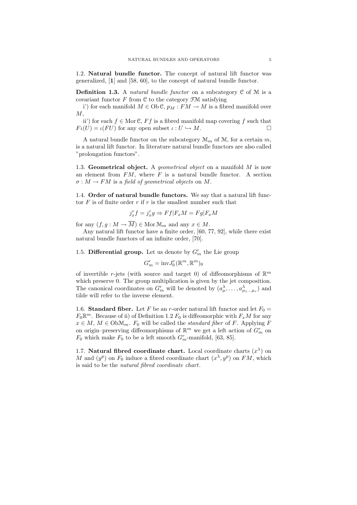1.2. Natural bundle functor. The concept of natural lift functor was generalized, [1] and [58, 60], to the concept of natural bundle functor.

**Definition 1.3.** A *natural bundle functor* on a subcategory  $C$  of  $M$  is a covariant functor  $F$  from  $\mathfrak C$  to the category  $\mathfrak{F}M$  satisfying

i') for each manifold  $M \in Ob \mathcal{C}$ ,  $p_M : FM \to M$  is a fibred manifold over  $M,$ 

ii') for each  $f \in \text{Mor } \mathcal{C}$ ,  $Ff$  is a fibred manifold map covering f such that  $F_l(U) = l(FU)$  for any open subset  $l: U \hookrightarrow M$ .

A natural bundle functor on the subcategory  $\mathcal{M}_m$  of  $\mathcal{M}$ , for a certain  $m$ , is a natural lift functor. In literature natural bundle functors are also called "prolongation functors".

1.3. Geometrical object. A geometrical object on a manifold  $M$  is now an element from  $FM$ , where  $F$  is a natural bundle functor. A section  $\sigma : M \to FM$  is a field of geometrical objects on M.

1.4. Order of natural bundle functors. We say that a natural lift functor  $F$  is of finite order  $r$  if  $r$  is the smallest number such that

$$
j_x^r f = j_x^r g \Rightarrow Ff|F_x M = Fg|F_x M
$$

for any  $(f, g : M \to \overline{M}) \in \text{Mor } \mathfrak{M}_m$  and any  $x \in M$ .

Any natural lift functor have a finite order, [60, 77, 92], while there exist natural bundle functors of an infinite order, [70].

1.5. Differential group. Let us denote by  $G_m^r$  the Lie group

$$
G_m^r = \text{inv} J_0^r(\mathbb{R}^m,\mathbb{R}^m)_0
$$

of invertible r-jets (with source and target 0) of diffeomorphisms of  $\mathbb{R}^m$ which preserve 0. The group multiplication is given by the jet composition. The canonical coordinates on  $G_m^r$  will be denoted by  $(a_\mu^\lambda, \ldots, a_{\mu_1 \ldots \mu_r}^\lambda)$  and tilde will refer to the inverse element.

1.6. Standard fiber. Let F be an r-order natural lift functor and let  $F_0 =$  $F_0 \mathbb{R}^m$ . Because of ii) of Definition 1.2  $F_0$  is diffeomorphic with  $F_x M$  for any  $x \in M$ ,  $M \in \text{Ob} \mathcal{M}_m$ .  $F_0$  will be called the *standard fiber* of F. Applying F on origin–preserving diffeomorphisms of  $\mathbb{R}^m$  we get a left action of  $G_m^r$  on  $F_0$  which make  $F_0$  to be a left smooth  $G_m^r$ -manifold, [63, 85].

1.7. Natural fibred coordinate chart. Local coordinate charts  $(x^{\lambda})$  on M and  $(y^p)$  on  $F_0$  induce a fibred coordinate chart  $(x^{\lambda}, y^p)$  on  $FM$ , which is said to be the natural fibred coordinate chart.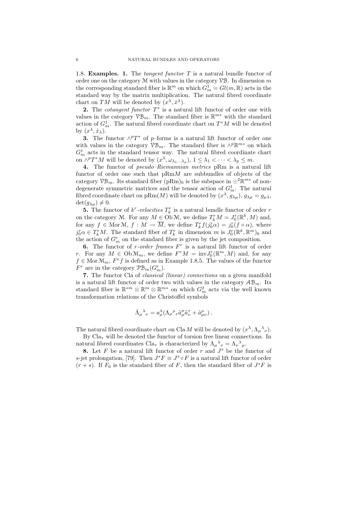1.8. **Examples.** 1. The *tangent functor*  $T$  is a natural bundle functor of order one on the category  $M$  with values in the category  $\mathcal{VB}$ . In dimension m the corresponding standard fiber is  $\mathbb{R}^m$  on which  $G_m^1 = Gl(m, \mathbb{R})$  acts in the standard way by the matrix multiplication. The natural fibred coordinate chart on TM will be denoted by  $(x^{\lambda}, \dot{x}^{\lambda})$ .

2. The *cotangent functor*  $T^*$  is a natural lift functor of order one with values in the category  $\mathcal{VB}_m$ . The standard fiber is  $\mathbb{R}^{m*}$  with the standard action of  $G_m^1$ . The natural fibred coordinate chart on  $T^*M$  will be denoted by  $(x^{\lambda}, \dot{x}_{\lambda}).$ 

**3.** The functor  $\wedge^p T^*$  of p–forms is a natural lift functor of order one with values in the category  $\mathcal{VB}_m$ . The standard fiber is  $\wedge^p \mathbb{R}^{m*}$  on which  $G_m^1$  acts in the standard tensor way. The natural fibred coordinate chart on  $\wedge^p T^*M$  will be denoted by  $(x^{\lambda}, \omega_{\lambda_1...\lambda_p}), 1 \leq \lambda_1 < \cdots < \lambda_p \leq m$ .

4. The functor of pseudo–Riemannian metrics pRm is a natural lift functor of order one such that  $pRmM$  are subbundles of objects of the category  $\mathcal{VB}_m$ . Its standard fiber  $(pRm)_0$  is the subspace in  $\odot^2 \mathbb{R}^{m*}$  of nondegenerate symmetric matrices and the tensor action of  $G_m^1$ . The natural fibred coordinate chart on  $pRm(M)$  will be denoted by  $(x^{\lambda}, g_{\lambda\mu}), g_{\lambda\mu} = g_{\mu\lambda},$  $\det(g_{\lambda\mu})\neq 0.$ 

**5.** The functor of  $k^r$ -velocities  $T_k^r$  is a natural bundle functor of order r on the category M. For any  $M \in \mathcal{O}_b^{\cdot} \mathcal{M}$ , we define  $T_k^r M = J_0^r(\mathbb{R}^k, M)$  and, for any  $f \in \text{Mor } \mathcal{M}, f : M \to \overline{M}$ , we define  $T_k^r f(j_0^r \alpha) = j_0^r(f \circ \alpha)$ , where  $j_0^r \alpha \in T_k^r M$ . The standard fiber of  $T_k^r$  in dimension m is  $J_0^r(\mathbb{R}^k, \mathbb{R}^m)$  and the action of  $G_m^r$  on the standard fiber is given by the jet composition.

6. The functor of r-order frames  $F<sup>r</sup>$  is a natural lift functor of order r. For any  $M \in \mathrm{Ob}\,\mathcal{M}_m$ , we define  $F^rM = \mathrm{inv}J_0^r(\mathbb{R}^m, M)$  and, for any  $f \in \text{Mor } \mathcal{M}_m$ ,  $F^r f$  is defined as in Example 1.8.5. The values of the functor  $F^r$  are in the category  $\mathcal{PB}_m(G_m^r)$ .

7. The functor Cla of classical (linear) connections on a given manifold is a natural lift functor of order two with values in the category  $AB_m$ . Its standard fiber is  $\mathbb{R}^{*m} \otimes \mathbb{R}^{m} \otimes \mathbb{R}^{m*}$  on which  $G_m^2$  acts via the well known transformation relations of the Christoffel symbols

$$
\bar{\Lambda}_\mu{}^\lambda{}_\nu = a_\rho^\lambda (\Lambda_\sigma{}^\rho{}_\tau \tilde{a}_\mu^\sigma \tilde{a}_\nu^\tau + \tilde{a}_{\mu\nu}^\rho)\,.
$$

The natural fibred coordinate chart on Cla M will be denoted by  $(x^{\lambda}, \Lambda_{\mu}{}^{\lambda}{}_{\nu}).$ 

By  $\text{Cla}_{\tau}$  will be denoted the functor of torsion free linear connections. In natural fibred coordinates  $\text{Cla}_{\tau}$  is characterized by  $\Lambda_{\mu}{}^{\lambda}{}_{\nu} = \Lambda_{\nu}{}^{\lambda}{}_{\mu}$ .

8. Let  $F$  be a natural lift functor of order  $r$  and  $J^s$  be the functor of s-jet prolongation, [79]. Then  $J^s F \equiv J^s \circ F$  is a natural lift functor of order  $(r + s)$ . If  $F_0$  is the standard fiber of F, then the standard fiber of  $J^sF$  is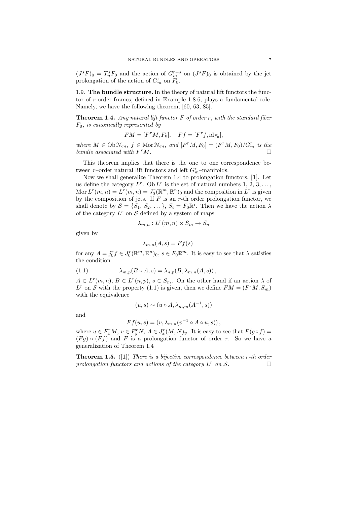$(J^sF)_0 = T^s_nF_0$  and the action of  $G_m^{r+s}$  on  $(J^sF)_0$  is obtained by the jet prolongation of the action of  $G_m^r$  on  $F_0$ .

1.9. The bundle structure. In the theory of natural lift functors the functor of r-order frames, defined in Example 1.8.6, plays a fundamental role. Namely, we have the following theorem, [60, 63, 85].

**Theorem 1.4.** Any natural lift functor  $F$  of order  $r$ , with the standard fiber  $F_0$ , is canonically represented by

$$
FM = [F^rM, F_0], \quad Ff = [F^r f, id_{F_0}],
$$

where  $M \in \mathrm{Ob}\,\mathcal{M}_m$ ,  $f \in \mathrm{Mor}\,\mathcal{M}_m$ , and  $[F^rM, F_0] = (F^rM, F_0)/G_m^r$  is the bundle associated with  $F^rM$ .  $r_M$ .

This theorem implies that there is the one–to–one correspondence between  $r\mathrm{-order}$  natural lift functors and left  $G_m^r\mathrm{-manifolds}.$ 

Now we shall generalize Theorem 1.4 to prolongation functors, [1]. Let us define the category  $L^r$ . Ob  $L^r$  is the set of natural numbers 1, 2, 3, ..., Mor  $L^r(m, n) = L^r(m, n) = J_0^r(\mathbb{R}^m, \mathbb{R}^n)$  and the composition in  $L^r$  is given by the composition of jets. If  $F$  is an  $r$ -th order prolongation functor, we shall denote by  $S = \{S_1, S_2, \dots\}, S_i = F_0 \mathbb{R}^i$ . Then we have the action  $\lambda$ of the category  $L^r$  on S defined by a system of maps

$$
\lambda_{m,n}: L^r(m,n) \times S_m \to S_n
$$

given by

$$
\lambda_{m,n}(A,s) = Ff(s)
$$

for any  $A = j_0^r f \in J_0^r(\mathbb{R}^m, \mathbb{R}^n)_0$ ,  $s \in F_0 \mathbb{R}^m$ . It is easy to see that  $\lambda$  satisfies the condition

(1.1) 
$$
\lambda_{m,p}(B \circ A, s) = \lambda_{n,p}(B, \lambda_{m,n}(A, s)),
$$

 $A \in L^r(m,n), B \in L^r(n,p), s \in S_m$ . On the other hand if an action  $\lambda$  of  $L^r$  on S with the property (1.1) is given, then we define  $FM = (F^rM, S_m)$ with the equivalence

$$
(u, s) \sim (u \circ A, \lambda_{m,m}(A^{-1}, s))
$$

and

$$
Ff(u, s) = (v, \lambda_{m,n}(v^{-1} \circ A \circ u, s)),
$$

where  $u \in F_x^r M$ ,  $v \in F_y^r N$ ,  $A \in J_x^r (M, N)_y$ . It is easy to see that  $F(g \circ f) =$  $(Fg) \circ (Ff)$  and F is a prolongation functor of order r. So we have a generalization of Theorem 1.4

**Theorem 1.5.** ([1]) There is a bijective correspondence between  $r$ -th order prolongation functors and actions of the category  $L^r$  on  $S$ .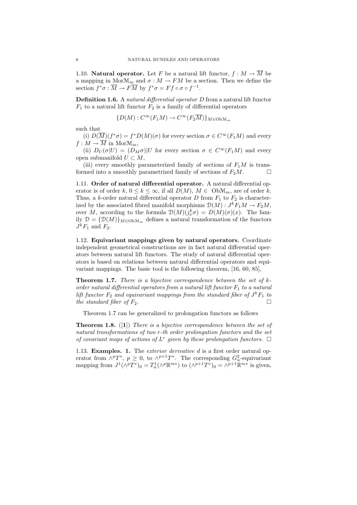1.10. **Natural operator.** Let F be a natural lift functor,  $f : M \to \overline{M}$  be a mapping in  $Mor\mathcal{M}_m$  and  $\sigma : M \to FM$  be a section. Then we define the section  $f^*\sigma : \overline{M} \to F\overline{M}$  by  $f^*\sigma = Ff \circ \sigma \circ f^{-1}$ .

Definition 1.6. A natural differential operator D from a natural lift functor  $F_1$  to a natural lift functor  $F_2$  is a family of differential operators

$$
\{D(M): C^{\infty}(F_1M) \to C^{\infty}(F_2\overline{M})\}_{M \in \mathrm{Ob}\mathcal{M}_m}
$$

such that

(i)  $D(\overline{M})(f^*\sigma) = f^*D(M)(\sigma)$  for every section  $\sigma \in C^{\infty}(F_1M)$  and every  $f: M \to \overline{M}$  in Mor $\mathfrak{M}_m$ ,

(ii)  $D_U(\sigma|U) = (D_M \sigma)|U$  for every section  $\sigma \in C^{\infty}(F_1 M)$  and every open submanifold  $U \subset M$ ,

(iii) every smoothly parameterized family of sections of  $F_1M$  is transformed into a smoothly parametrized family of sections of  $F_2M$ .

1.11. Order of natural differential operator. A natural differential operator is of order k,  $0 \le k \le \infty$ , if all  $D(M)$ ,  $M \in \text{Ob} \mathcal{M}_m$ , are of order k. Thus, a k-order natural differential operator D from  $F_1$  to  $F_2$  is characterized by the associated fibred manifold morphisms  $\mathcal{D}(M) : J^k F_1 M \to F_2 M$ , over M, according to the formula  $\mathcal{D}(M)(j_x^k \sigma) = D(M)(\sigma)(x)$ . The family  $\mathcal{D} = {\mathcal{D}(M)}_{M \in \text{Ob} \mathcal{M}_m}$  defines a natural transformation of the functors  $J^kF_1$  and  $F_2$ .

1.12. Equivariant mappings given by natural operators. Coordinate independent geometrical constructions are in fact natural differential operators between natural lift functors. The study of natural differential operators is based on relations between natural differential operators and equivariant mappings. The basic tool is the following theorem, [16, 60, 85],

**Theorem 1.7.** There is a bijective correspondence between the set of  $k$ order natural differential operators from a natural lift functor  $F_1$  to a natural lift functor  $F_2$  and equivariant mappings from the standard fiber of  $J^kF_1$  to the standard fiber of  $F_2$ .

Theorem 1.7 can be generalized to prolongation functors as follows

**Theorem 1.8.** ([1]) There is a bijective correspondence between the set of natural transformations of two r-th order prolongation functors and the set of covariant maps of actions of  $L^r$  given by these prolongation functors.  $\Box$ 

1.13. Examples. 1. The *exterior derivative d* is a first order natural operator from  $\wedge^p T^*$ ,  $p \geq 0$ , to  $\wedge^{p+1} T^*$ . The corresponding  $G_n^2$ -equivariant mapping from  $J^1(\wedge^p T^*)_0 = T^1_n(\wedge^p \mathbb{R}^{m*})$  to  $(\wedge^{p+1} T^*)_0 = \wedge^{p+1} \mathbb{R}^{m*}$  is given,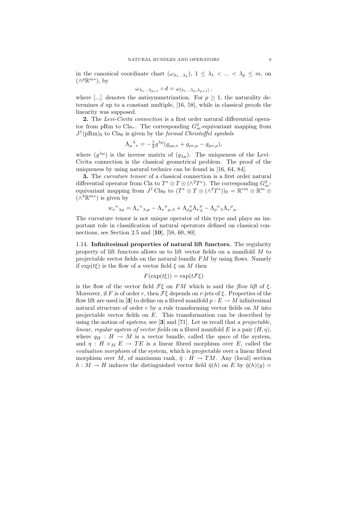in the canonical coordinate chart  $(\omega_{\lambda_1...\lambda_p}), 1 \leq \lambda_1 < ... < \lambda_p \leq m$ , on  $(\wedge^p \mathbb{R}^{m*})$ , by

$$
\omega_{\lambda_1...\lambda_{p+1}} \circ d = \omega_{[\lambda_1...\lambda_p,\lambda_{p+1}]},
$$

where [...] denotes the antisymmetrization. For  $p \geq 1$ , the naturality determines  $d$  up to a constant multiple,  $[16, 58]$ , while in classical proofs the linearity was supposed.

2. The Levi-Civita connection is a first order natural differential operator from pRm to  $\text{Cla}_{\tau}$ . The corresponding  $G_m^2$ -equivariant mapping from  $J^1(pRm)_0$  to Cla<sub>0</sub> is given by the *formal Christoffel symbols* 

$$
\Lambda_{\mu}{}^{\lambda}{}_{\nu} = -\frac{1}{2}g^{\lambda\rho}(g_{\rho\mu,\nu} + g_{\rho\nu,\mu} - g_{\mu\nu,\rho}),
$$

where  $(g^{\lambda\mu})$  is the inverse matrix of  $(g_{\lambda\mu})$ . The uniqueness of the Levi-Civita connection is the classical geometrical problem. The proof of the uniqueness by using natural technics can be found in [16, 64, 84].

3. The curvature tensor of a classical connection is a first order natural differential operator from Cla to  $T^* \otimes T \otimes (\wedge^2 T^*)$ . The corresponding  $G_m^3$ equivariant mapping from  $J^1$  Cla<sub>0</sub> to  $(T^* \otimes T \otimes (\wedge^2 T^*))_0 = \mathbb{R}^{*m} \otimes \mathbb{R}^m \otimes$  $(∧^{2}ℝ^{m*})$  is given by

$$
w_\nu{}^\kappa{}_{\lambda\mu}=\Lambda_\nu{}^\kappa{}_{\lambda,\mu}-\Lambda_\nu{}^\kappa{}_{\mu,\lambda}+\Lambda_\rho{}^\kappa_{\mu}\Lambda_\nu{}^\rho_{\lambda}-\Lambda_\rho{}^\kappa{}_\lambda\Lambda_\nu{}^\rho{}_\mu\,.
$$

The curvature tensor is not unique operator of this type and plays an important role in classification of natural operators defined on classical connections, see Section 2.5 and [10], [58, 60, 80].

1.14. Infinitesimal properties of natural lift functors. The regularity property of lift functors allows us to lift vector fields on a manifold M to projectable vector fields on the natural bundle  $FM$  by using flows. Namely if  $\exp(t\xi)$  is the flow of a vector field  $\xi$  on M then

$$
F(\exp(t\xi)) = \exp(t\mathcal{F}\xi)
$$

is the flow of the vector field  $\mathcal{F}\xi$  on  $FM$  which is said the flow lift of  $\xi$ . Moreover, if F is of order r, then  $\mathcal{F}\xi$  depends on r-jets of  $\xi$ . Properties of the flow lift are used in [3] to define on a fibred manifold  $p : E \to M$  infinitesimal natural structure of order r by a rule transforming vector fields on  $M$  into projectable vector fields on E. This transformation can be described by using the notion of *systems*, see  $[3]$  and  $[71]$ . Let us recall that a *projectable*, linear, regular system of vector fields on a fibred manifold E is a pair  $(H, \eta)$ , where  $q_H : H \to M$  is a vector bundle, called the *space* of the system, and  $\eta: H \times_M E \to TE$  is a linear fibred morphism over E, called the evaluation morphism of the system, which is projectable over a linear fibred morphism over M, of maximum rank,  $\bar{\eta}: H \to TM$ . Any (local) section  $h: M \to H$  induces the distinguished vector field  $\tilde{\eta}(h)$  on E by  $\tilde{\eta}(h)(y) =$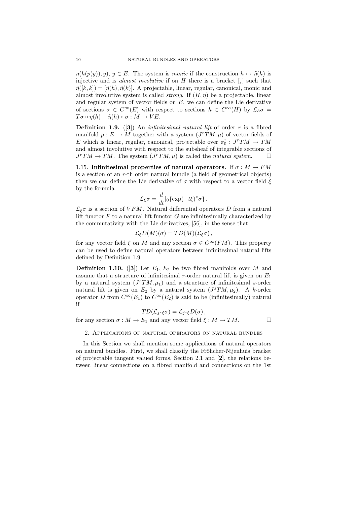$\eta(h(p(y)), y), y \in E$ . The system is monic if the construction  $h \mapsto \tilde{\eta}(h)$  is injective and is *almost involutive* if on  $H$  there is a bracket  $\left[ , \right]$  such that  $\tilde{\eta}([k,k]) = [\tilde{\eta}(h), \tilde{\eta}(k)]$ . A projectable, linear, regular, canonical, monic and almost involutive system is called *strong*. If  $(H, \eta)$  be a projectable, linear and regular system of vector fields on  $E$ , we can define the Lie derivative of sections  $\sigma \in C^{\infty}(E)$  with respect to sections  $h \in C^{\infty}(H)$  by  $\mathcal{L}_h \sigma =$  $T\sigma \circ \bar{\eta}(h) - \tilde{\eta}(h) \circ \sigma : M \to VE.$ 

**Definition 1.9.** ([3]) An *infinitesimal natural lift* of order  $r$  is a fibred manifold  $p: E \to M$  together with a system  $(J^T TM, \mu)$  of vector fields of E which is linear, regular, canonical, projectable over  $\pi_0^r : J^rTM \to TM$ and almost involutive with respect to the subsheaf of integrable sections of  $J^rTM \to TM$ . The system  $(J^rTM,\mu)$  is called the *natural system*.  $\square$ 

1.15. Infinitesimal properties of natural operators. If  $\sigma : M \to FM$ is a section of an r-th order natural bundle (a field of geometrical objects) then we can define the Lie derivative of  $\sigma$  with respect to a vector field  $\xi$ by the formula

$$
\mathcal{L}_{\xi}\sigma = \frac{d}{dt}|_{0}\{\exp(-t\xi)^{*}\sigma\}.
$$

 $\mathcal{L}_{\xi}\sigma$  is a section of VFM. Natural differential operators D from a natural lift functor  $F$  to a natural lift functor  $G$  are infinitesimally characterized by the commutativity with the Lie derivatives, [56], in the sense that

$$
\mathcal{L}_{\xi}D(M)(\sigma) = TD(M)(\mathcal{L}_{\xi}\sigma) ,
$$

for any vector field  $\xi$  on M and any section  $\sigma \in C^{\infty}(FM)$ . This property can be used to define natural operators between infinitesimal natural lifts defined by Definition 1.9.

**Definition 1.10.** ([3]) Let  $E_1, E_2$  be two fibred manifolds over M and assume that a structure of infinitesimal r-order natural lift is given on  $E_1$ by a natural system  $(J^rTM, \mu_1)$  and a structure of infinitesimal s-order natural lift is given on  $E_2$  by a natural system  $(J^sTM,\mu_2)$ . A k-order operator D from  $C^{\infty}(E_1)$  to  $C^{\infty}(E_2)$  is said to be (infinitesimally) natural if

$$
TD(\mathcal{L}_{j^r\xi}\sigma)=\mathcal{L}_{j^s\xi}D(\sigma),
$$

for any section  $\sigma : M \to E_1$  and any vector field  $\xi : M \to TM$ .

2. Applications of natural operators on natural bundles

In this Section we shall mention some applications of natural operators on natural bundles. First, we shall classify the Frölicher-Nijenhuis bracket of projectable tangent valued forms, Section 2.1 and [2], the relations between linear connections on a fibred manifold and connections on the 1st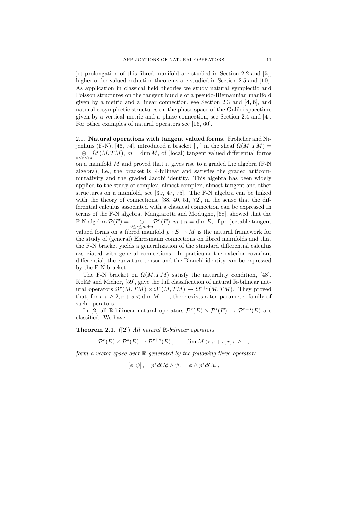jet prolongation of this fibred manifold are studied in Section 2.2 and [5], higher order valued reduction theorems are studied in Section 2.5 and [10]. As application in classical field theories we study natural symplectic and Poisson structures on the tangent bundle of a pseudo-Riemannian manifold given by a metric and a linear connection, see Section 2.3 and  $[4, 6]$ , and natural cosymplectic structures on the phase space of the Galilei spacetime given by a vertical metric and a phase connection, see Section 2.4 and [4]. For other examples of natural operators see [16, 60].

2.1. Natural operations with tangent valued forms. Frölicher and Nijenhuis (F-N), [46, 74], introduced a bracket [, ] in the sheaf  $\Omega(M, TM)$  =  $\oplus$   $\Omega^r(M, TM), m = \dim M$ , of (local) tangent valued differential forms  $0 \leq r \leq m$ on a manifold  $M$  and proved that it gives rise to a graded Lie algebra (F-N algebra), i.e., the bracket is R-bilinear and satisfies the graded anticommutativity and the graded Jacobi identity. This algebra has been widely applied to the study of complex, almost complex, almost tangent and other structures on a manifold, see [39, 47, 75]. The F-N algebra can be linked with the theory of connections, [38, 40, 51, 72], in the sense that the differential calculus associated with a classical connection can be expressed in terms of the F-N algebra. Mangiarotti and Modugno, [68], showed that the F-N algebra  $\mathcal{P}(E) = \bigoplus_{0 \le r \le m+n} \mathcal{P}^r(E), m+n = \dim E$ , of projectable tangent valued forms on a fibred manifold  $p: E \to M$  is the natural framework for the study of (general) Ehresmann connections on fibred manifolds and that the F-N bracket yields a generalization of the standard differential calculus associated with general connections. In particular the exterior covariant differential, the curvature tensor and the Bianchi identity can be expressed by the F-N bracket.

The F-N bracket on  $\Omega(M, TM)$  satisfy the naturality condition, [48]. Kolář and Michor,  $[59]$ , gave the full classification of natural R-bilinear natural operators  $\Omega^r(M, TM) \times \Omega^s(M, TM) \to \Omega^{r+s}(M, TM)$ . They proved that, for  $r, s \geq 2, r + s < \dim M - 1$ , there exists a ten parameter family of such operators.

In [2] all R-bilinear natural operators  $\mathcal{P}^r(E) \times \mathcal{P}^s(E) \to \mathcal{P}^{r+s}(E)$  are classified. We have

**Theorem 2.1.** ([2]) All natural  $\mathbb{R}$ -bilinear operators

 $\mathcal{P}^r(E) \times \mathcal{P}^s(E) \to \mathcal{P}^{r+s}(E), \qquad \dim M > r+s, r, s \geq 1,$ 

form a vector space over  $\mathbb R$  generated by the following three operators

$$
[\phi, \psi], \quad p^*dC\phi \wedge \psi, \quad \phi \wedge p^*dC\psi,
$$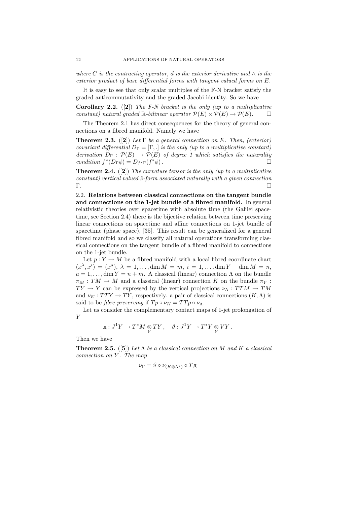where C is the contracting operator, d is the exterior derivative and  $\wedge$  is the exterior product of base differential forms with tangent valued forms on E.

It is easy to see that only scalar multiples of the F-N bracket satisfy the graded anticommutativity and the graded Jacobi identity. So we have

**Corollary 2.2.** ([2]) The F-N bracket is the only (up to a multiplicative constant) natural graded R-bilinear operator  $\mathcal{P}(E) \times \mathcal{P}(E) \rightarrow \mathcal{P}(E)$ .  $\Box$ 

The Theorem 2.1 has direct consequences for the theory of general connections on a fibred manifold. Namely we have

**Theorem 2.3.** ([2]) Let  $\Gamma$  be a general connection on E. Then, (exterior) covariant differential  $D_{\Gamma} = [\Gamma, .]$  is the only (up to a multiplicative constant) derivation  $D_{\Gamma} : \mathcal{P}(E) \to \mathcal{P}(E)$  of degree 1 which satisfies the naturality condition  $f^*(D_{\Gamma}\phi) = D_{f^*\Gamma}(f)$  $*(\phi)$ .

**Theorem 2.4.** ([2]) The curvature tensor is the only (up to a multiplicative constant) vertical valued 2-form associated naturally with a given connection Γ.

2.2. Relations between classical connections on the tangent bundle and connections on the 1-jet bundle of a fibred manifold. In general relativistic theories over spacetime with absolute time (the Galilei spacetime, see Section 2.4) there is the bijective relation between time preserving linear connections on spacetime and affine connections on 1-jet bundle of spacetime (phase space), [35]. This result can be generalized for a general fibred manifold and so we classify all natural operations transforming classical connections on the tangent bundle of a fibred manifold to connections on the 1-jet bundle.

Let  $p: Y \to M$  be a fibred manifold with a local fibred coordinate chart  $(x^{\lambda}, x^i) = (x^a), \lambda = 1, \ldots, \dim M = m, i = 1, \ldots, \dim Y - \dim M = n,$  $a = 1, \ldots, \dim Y = n + m$ . A classical (linear) connection  $\Lambda$  on the bundle  $\pi_M : TM \to M$  and a classical (linear) connection K on the bundle  $\pi_Y$ :  $TY \to Y$  can be expressed by the vertical projections  $\nu_{\Lambda} : TTM \to TM$ and  $\nu_K: TTY \to TY$ , respectively. a pair of classical connections  $(K, \Lambda)$  is said to be *fibre preserving* if  $Tp \circ \nu_K = TTp \circ \nu_{\Lambda}$ .

Let us consider the complementary contact maps of 1-jet prolongation of Y

$$
\mu: J^1Y \to T^*M \underset{Y}{\otimes} TY \ , \quad \vartheta: J^1Y \to T^*Y \underset{Y}{\otimes} VY \ .
$$

Then we have

**Theorem 2.5.** ([5]) Let  $\Lambda$  be a classical connection on M and K a classical connection on Y. The map

$$
\nu_{\Gamma} = \vartheta \circ \nu_{(K \otimes \Lambda^*)} \circ T_{\mathcal{A}}
$$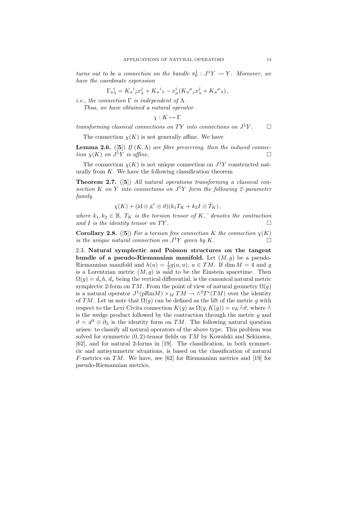turns out to be a connection on the bundle  $\pi_0^1 : J^1Y \to Y$ . Moreover, we have the coordinate expression

$$
\Gamma_{a\lambda}^{\ \ i} = K_a^{\ i}{}_{j}x_{\lambda}^j + K_a^{\ i}{}_{\lambda} - x_{\mu}^i(K_a^{\ \mu}{}_{j}x_{\lambda}^j + K_a^{\ \mu}{}_{\lambda}),
$$

i.e., the connection  $\Gamma$  is independent of  $\Lambda$ .

Thus, we have obtained a natural operator

$$
\chi: K \mapsto \Gamma
$$

transforming classical connections on TY into connections on  $J^1Y$ .  $\Box$ 

The connection  $\chi(K)$  is not generally affine. We have

**Lemma 2.6.** ([5]) If  $(K, \Lambda)$  are fibre preserving, then the induced connection  $\chi(K)$  on  $J^1Y$  is affine.

The connection  $\chi(K)$  is not unique connection on  $J^1Y$  constructed naturally from  $K$ . We have the following classification theorem

**Theorem 2.7.** ([5]) All natural operations transforming a classical connection K on Y into connections on  $J^1Y$  form the following 2-parameter family

$$
\chi(K)+({\rm id}\mathop{\otimes}\pi^{*}\otimes\vartheta)(k_1T_K+k_2I\otimes\hat T_K)\,,
$$

where  $k_1, k_2 \in \mathbb{R}$ ,  $T_K$  is the torsion tensor of K,  $\hat{ }$  denotes the contraction and I is the identity tensor on TY.

**Corollary 2.8.** ([5]) For a torsion free connection K the connection  $\chi(K)$ is the unique natural connection on  $J^1Y$  given by K.

2.3. Natural symplectic and Poisson structures on the tangent bundle of a pseudo-Riemannian manifold. Let  $(M, q)$  be a pseudo-Riemannian manifold and  $h(u) = \frac{1}{2}g(u, u)$ ,  $u \in TM$ . If dim  $M = 4$  and g is a Lorentzian metric  $(M, g)$  is said to be the Einstein spacetime. Then  $\Omega(q) = d_v h$ ,  $d_v$  being the vertical differential, is the canonical natural metric symplectic 2-form on TM. From the point of view of natural geometry  $\Omega(q)$ is a natural operator  $J^1(pRmM) \times_M TM \to \wedge^2 T^*(TM)$  over the identity of TM. Let us note that  $\Omega(q)$  can be defined as the lift of the metric g with respect to the Levi Civita connection  $K(q)$  as  $\Omega(q, K(q)) = \nu_K \bar{\wedge} \vartheta$ , where  $\bar{\wedge}$ is the wedge product followed by the contraction through the metric  $g$  and  $\vartheta = d^{\lambda} \otimes \partial_{\lambda}$  is the identity form on TM. The following natural question arises: to classify all natural operators of the above type. This problem was solved for symmetric  $(0, 2)$ -tensor fields on TM by Kowalski and Sekizawa, [62], and for natural 2-forms in [19]. The classification, in both symmetric and antisymmetric situations, is based on the classification of natural F-metrics on TM. We have, see [62] for Riemannian metrics and [19] for pseudo-Riemannian metrics,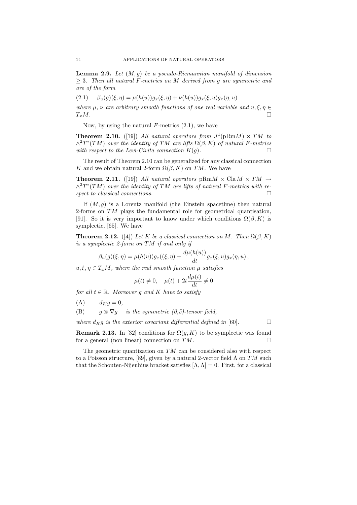**Lemma 2.9.** Let  $(M, q)$  be a pseudo-Riemannian manifold of dimension  $\geq$  3. Then all natural F-metrics on M derived from g are symmetric and are of the form

$$
(2.1) \qquad \beta_u(g)(\xi, \eta) = \mu(h(u))g_x(\xi, \eta) + \nu(h(u))g_x(\xi, u)g_x(\eta, u)
$$

where  $\mu$ ,  $\nu$  are arbitrary smooth functions of one real variable and  $u, \xi, \eta \in$  $T_xM$ .

Now, by using the natural  $F$ -metrics  $(2.1)$ , we have

**Theorem 2.10.** ([19]) All natural operators from  $J^1(pRm) \times TM$  to  $\wedge^2 T^*(TM)$  over the identity of TM are lifts  $\Omega(\beta, K)$  of natural F-metrics with respect to the Levi-Civita connection  $K(q)$ .

The result of Theorem 2.10 can be generalized for any classical connection K and we obtain natural 2-form  $\Omega(\beta, K)$  on TM. We have

**Theorem 2.11.** ([19]) All natural operators  $pRmM \times Cla M \times TM \rightarrow$  $\wedge^2 T^*(TM)$  over the identity of TM are lifts of natural F-metrics with respect to classical connections.  $\Box$ 

If  $(M, g)$  is a Lorentz manifold (the Einstein spacetime) then natural 2-forms on TM plays the fundamental role for geometrical quantisation, [91]. So it is very important to know under which conditions  $\Omega(\beta, K)$  is symplectic, [65]. We have

**Theorem 2.12.** ([4]) Let K be a classical connection on M. Then  $\Omega(\beta, K)$ is a symplectic 2-form on TM if and only if

$$
\beta_u(g)(\xi, \eta) = \mu(h(u))g_x((\xi, \eta) + \frac{d\mu(h(u))}{dt}g_x(\xi, u)g_x(\eta, u) ,
$$

 $u, \xi, \eta \in T_xM$ , where the real smooth function  $\mu$  satisfies

$$
\mu(t) \neq 0, \quad \mu(t) + 2t \frac{d\mu(t)}{dt} \neq 0
$$

for all  $t \in \mathbb{R}$ . Moreover g and K have to satisfy

 $(A)$   $d_K g = 0,$ 

(B)  $g \otimes \nabla g$  is the symmetric (0,5)-tensor field,

where  $d_{K}g$  is the exterior covariant differential defined in [60].

**Remark 2.13.** In [32] conditions for  $\Omega(g, K)$  to be symplectic was found for a general (non linear) connection on  $TM$ .

The geometric quantization on  $TM$  can be considered also with respect to a Poisson structure, [89], given by a natural 2-vector field  $\Lambda$  on TM such that the Schouten-Nijenhius bracket satisfies  $[\Lambda, \Lambda] = 0$ . First, for a classical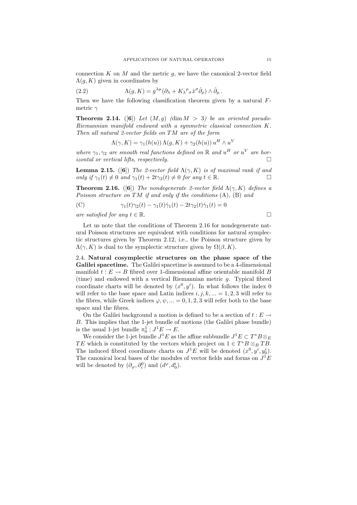connection K on M and the metric  $g$ , we have the canonical 2-vector field  $\Lambda(q, K)$  given in coordinates by

(2.2) 
$$
\Lambda(g, K) = g^{\lambda \mu} (\partial_{\lambda} + K_{\lambda}{}^{\rho}{}_{\sigma} \dot{x}^{\sigma} \dot{\partial}_{\rho}) \wedge \dot{\partial}_{\mu}.
$$

Then we have the following classification theorem given by a natural  $F$ metric  $\gamma$ 

**Theorem 2.14.** ([6]) Let  $(M, g)$  (dim  $M > 3$ ) be an oriented pseudo-Riemannian manifold endowed with a symmetric classical connection K. Then all natural 2-vector fields on TM are of the form

$$
\Lambda(\gamma, K) = \gamma_1(h(u)) \Lambda(g, K) + \gamma_2(h(u)) u^H \wedge u^V
$$

where  $\gamma_1, \gamma_2$  are smooth real functions defined on R and  $u^H$  or  $u^V$  are horizontal or vertical lifts, respectively.  $\Box$ 

**Lemma 2.15.** ([6]) The 2-vector field  $\Lambda(\gamma, K)$  is of maximal rank if and only if  $\gamma_1(t) \neq 0$  and  $\gamma_1(t) + 2t\gamma_2(t) \neq 0$  for any  $t \in \mathbb{R}$ .

**Theorem 2.16.** ([6]) The nondegenerate 2-vector field  $\Lambda(\gamma, K)$  defines a Poisson structure on TM if and only if the conditions  $(A)$ ,  $(B)$  and

(C) 
$$
\gamma_1(t)\gamma_2(t) - \gamma_1(t)\dot{\gamma}_1(t) - 2t\gamma_2(t)\dot{\gamma}_1(t) = 0
$$

are satisfied for any  $t \in \mathbb{R}$ .

Let us note that the conditions of Theorem 2.16 for nondegenerate natural Poisson structures are equivalent with conditions for natural symplectic structures given by Theorem 2.12, i.e., the Poisson structure given by  $\Lambda(\gamma, K)$  is dual to the symplectic structure given by  $\Omega(\beta, K)$ .

2.4. Natural cosymplectic structures on the phase space of the Galilei spacetime. The Galilei spacetime is assumed to be a 4-dimensional manifold  $t : E \to B$  fibred over 1-dimensional affine orientable manifold B (time) and endowed with a vertical Riemannian metric g. Typical fibred coordinate charts will be denoted by  $(x^0, y^i)$ . In what follows the index 0 will refer to the base space and Latin indices  $i, j, k, ... = 1, 2, 3$  will refer to the fibres, while Greek indices  $\varphi, \psi, \ldots = 0, 1, 2, 3$  will refer both to the base space and the fibres.

On the Galilei background a motion is defined to be a section of  $t : E \rightarrow$ B. This implies that the 1-jet bundle of motions (the Galilei phase bundle) is the usual 1-jet bundle  $\pi_0^1: J^1E \to E$ .

We consider the 1-jet bundle  $J^1E$  as the affine subbundle  $J^1E \subset T^*B \otimes_E \mathbb{Z}$ TE which is constituted by the vectors which project on  $1 \in T^*B \otimes_B TB$ . The induced fibred coordinate charts on  $J^1E$  will be denoted  $(x^0, y^i, y_0^i)$ . The canonical local bases of the modules of vector fields and forms on  $J<sup>1</sup>E$ will be denoted by  $(\partial_{\varphi}, \partial_i^0)$  and  $(d^{\varphi}, d_0^i)$ .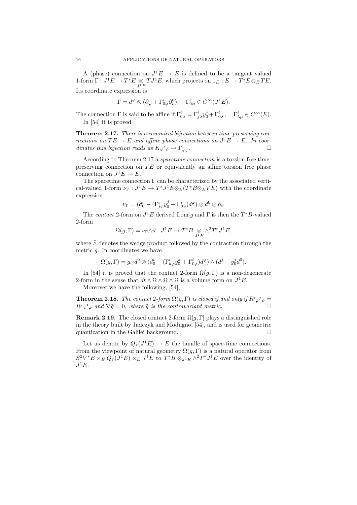A (phase) connection on  $J^1E \to E$  is defined to be a tangent valued 1-form  $\Gamma: J^1E \to T^*E \underset{J^1E}{\otimes} TJ^1E$ , which projects on  $1_E: E \to T^*E \otimes_E TE$ . Its coordinate expression is

$$
\Gamma = d^{\varphi} \otimes (\partial_{\varphi} + \Gamma^{i}_{0\varphi} \partial_{i}^{0}), \quad \Gamma^{i}_{0\varphi} \in C^{\infty}(J^{1}E).
$$

The connection  $\Gamma$  is said to be affine if  $\Gamma^i_{0\lambda} = \Gamma^i_{j\lambda} y^j_0 + \Gamma^i_{0\lambda}$ ,  $\Gamma^i_{\lambda\mu} \in C^\infty(E)$ . In [54] it is proved

Theorem 2.17. There is a canonical bijection between time-preserving connections on  $TE \to E$  and affine phase connections on  $J<sup>1</sup>E \to E$ . In coordinates this bijection reads as  $K_{\varphi}^{\phantom{\psi}i} \psi \mapsto \Gamma_{\varphi}^i$  $\psi^i$ .

According to Theorem 2.17 a spacetime connection is a torsion free timepreserving connection on  $TE$  or equivalently an affine torsion free phase connection on  $J^1E \to E$ .

The spacetime connection  $\Gamma$  can be characterized by the associated vertical-valued 1-form  $\nu_{\Gamma}: J^1E \to T^*J^1E \otimes_E (T^*B \otimes_E VE)$  with the coordinate expression

$$
\nu_\Gamma=(d^i_0-(\Gamma^i_{j\varphi}y^j_0+\Gamma^i_{0\varphi})d^\varphi)\otimes d^0\otimes\partial_i.
$$

The contact 2-form on  $J^1E$  derived from g and  $\Gamma$  is then the  $T^*B$ -valued 2-form

$$
\Omega(g,\Gamma) = \nu_{\Gamma} \bar{\wedge} \vartheta : J^1 E \to T^* B \underset{J^1 E}{\otimes} {\wedge}^2 T^* J^1 E,
$$

where  $\bar{\wedge}$  denotes the wedge product followed by the contraction through the metric g. In coordinates we have

$$
\Omega(g,\Gamma)=g_{ij}d^0\otimes (d_0^i-(\Gamma^i_{k\varphi}y^k_0+\Gamma^i_{0\varphi})d^{\varphi})\wedge (d^j-y^j_0 d^0).
$$

In [54] it is proved that the contact 2-form  $\Omega(q, \Gamma)$  is a non-degenerate 2-form in the sense that  $dt \wedge \Omega \wedge \Omega \wedge \Omega$  is a volume form on  $J^1E$ .

Moreover we have the following, [54],

**Theorem 2.18.** The contact 2-form  $\Omega(g, \Gamma)$  is closed if and only if  $R^i \varphi^j \psi =$  $R^j{}_{\psi}{}^i{}_{\varphi}$  and  $\nabla \tilde{g} = 0$ , where  $\tilde{g}$  is the contravariant metric.

**Remark 2.19.** The closed contact 2-form  $\Omega[g, \Gamma]$  plays a distinguished role in the theory built by Jadczyk and Modugno, [54], and is used for geometric quantization in the Galilei background.

Let us denote by  $Q_{\tau}(J^1E) \to E$  the bundle of space-time connections. From the viewpoint of natural geometry  $\Omega(g, \Gamma)$  is a natural operator from  $S^2V^*E\times_E Q_\tau(J^1E)\times_E J^1E$  to  $T^*B\otimes_{J^1E}\wedge^2T^*J^1E$  over the identity of  $J^1E$ .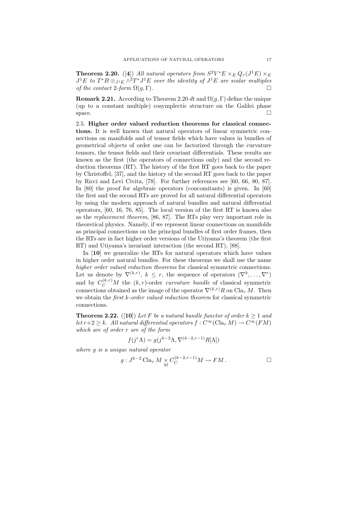**Theorem 2.20.** ([4]) All natural operators from  $S^2V^*E \times_E Q_\tau(J^1E) \times_E$  $J<sup>1</sup>E$  to  $T^*B \otimes_{J<sup>1</sup>E} \wedge^2 T^*J<sup>1</sup>E$  over the identity of  $J<sup>1</sup>E$  are scalar multiples of the contact 2-form  $\Omega(g,\Gamma)$ .

**Remark 2.21.** According to Theorem 2.20 dt and  $\Omega(q, \Gamma)$  define the unique (up to a constant multiple) cosymplectic structure on the Galilei phase space.

2.5. Higher order valued reduction theorems for classical connections. It is well known that natural operators of linear symmetric connections on manifolds and of tensor fields which have values in bundles of geometrical objects of order one can be factorized through the curvature tensors, the tensor fields and their covariant differentials. These results are known as the first (the operators of connections only) and the second reduction theorems (RT). The history of the first RT goes back to the paper by Christoffel, [37], and the history of the second RT goes back to the paper by Ricci and Levi Civita, [78]. For further references see [60, 66, 80, 87]. In [80] the proof for algebraic operators (concomitants) is given. In [60] the first and the second RTs are proved for all natural differential operators by using the modern approach of natural bundles and natural differential operators, [60, 16, 76, 85]. The local version of the first RT is known also as the replacement theorem, [86, 87]. The RTs play very important role in theoretical physics. Namely, if we represent linear connections on manifolds as principal connections on the principal bundles of first order frames, then the RTs are in fact higher order versions of the Utiyama's theorem (the first RT) and Utiyama's invariant interaction (the second RT), [88].

In [10] we generalize the RTs for natural operators which have values in higher order natural bundles. For these theorems we shall use the name higher order valued reduction theorems for classical symmetric connections. Let us denote by  $\nabla^{(k,r)}$ ,  $k \leq r$ , the sequence of operators  $(\nabla^k, \ldots, \nabla^r)$ and by  $C_C^{(k,r)}M$  the  $(k, r)$ -order *curvature bundle* of classical symmetric connections obtained as the image of the operator  $\nabla^{(k,r)}R$  on  $\text{Cla}_{\tau} M$ . Then we obtain the *first k-order valued reduction theorem* for classical symmetric connections.

**Theorem 2.22.** ([10]) Let F be a natural bundle functor of order  $k > 1$  and let  $r+2 \geq k$ . All natural differential operators  $f: C^{\infty}(\text{Cla}_{\tau} M) \to C^{\infty}(FM)$ which are of order r are of the form

$$
f(j^r \Lambda) = g(j^{k-2} \Lambda, \nabla^{(k-2,r-1)} R[\Lambda])
$$

where g is a unique natural operator

$$
g: J^{k-2} \operatorname{Cla}_{\tau} M \underset{M}{\times} C_C^{(k-2,r-1)} M \to FM.
$$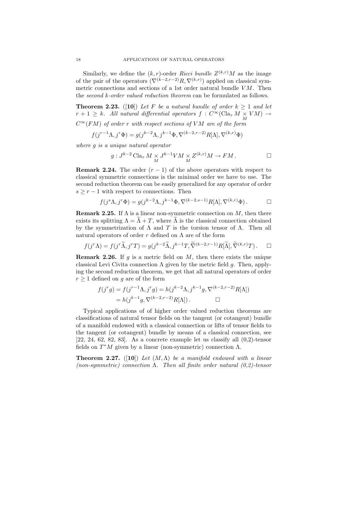Similarly, we define the  $(k, r)$ -order Ricci bundle  $Z^{(k,r)}M$  as the image of the pair of the operators  $(\nabla^{(k-2,r-2)}R, \nabla^{(k,r)})$  applied on classical symmetric connections and sections of a 1st order natural bundle  $VM$ . Then the second k-order valued reduction theorem can be formulated as follows.

**Theorem 2.23.** ([10]) Let F be a natural bundle of order  $k \ge 1$  and let  $r + 1 \geq k$ . All natural differential operators  $f : C^{\infty}(\text{Cla}_{\tau} M \times VM) \to$ 

 $C^{\infty}(FM)$  of order r with respect sections of VM are of the form

$$
f(j^{r-1}\Lambda, j^r\Phi) = g(j^{k-2}\Lambda, j^{k-1}\Phi, \nabla^{(k-2,r-2)}R[\Lambda], \nabla^{(k,r)}\Phi)
$$

where g is a unique natural operator

$$
g: J^{k-2} \operatorname{Cla}_{\tau} M \underset{M}{\times} J^{k-1}VM \underset{M}{\times} Z^{(k,r)}M \to FM.
$$

**Remark 2.24.** The order  $(r - 1)$  of the above operators with respect to classical symmetric connections is the minimal order we have to use. The second reduction theorem can be easily generalized for any operator of order  $s \geq r-1$  with respect to connections. Then

$$
f(j^{s}\Lambda, j^{r}\Phi) = g(j^{k-2}\Lambda, j^{k-1}\Phi, \nabla^{(k-2,s-1)}R[\Lambda], \nabla^{(k,r)}\Phi) . \qquad \Box
$$

**Remark 2.25.** If  $\Lambda$  is a linear non-symmetric connection on  $M$ , then there exists its splitting  $\Lambda = \widetilde{\Lambda} + T$ , where  $\widetilde{\Lambda}$  is the classical connection obtained by the symmetrization of  $\Lambda$  and  $T$  is the torsion tensor of  $\Lambda$ . Then all natural operators of order r defined on  $\Lambda$  are of the form

 $f(j^r \Lambda) = f(j^r \widetilde{\Lambda}, j^r T) = g(j^{k-2} \widetilde{\Lambda}, j^{k-1} T, \widetilde{\nabla}^{(k-2,r-1)} R[\widetilde{\Lambda}], \widetilde{\nabla}^{(k,r)} T). \quad \Box$ 

**Remark 2.26.** If g is a metric field on  $M$ , then there exists the unique classical Levi Civita connection  $\Lambda$  given by the metric field g. Then, applying the second reduction theorem, we get that all natural operators of order  $r \geq 1$  defined on g are of the form

$$
f(j^r g) = f(j^{r-1} \Lambda, j^r g) = h(j^{k-2} \Lambda, j^{k-1} g, \nabla^{(k-2,r-2)} R[\Lambda])
$$
  
=  $h(j^{k-1} g, \nabla^{(k-2,r-2)} R[\Lambda]).$ 

Typical applications of of higher order valued reduction theorems are classifications of natural tensor fields on the tangent (or cotangent) bundle of a manifold endowed with a classical connection or lifts of tensor fields to the tangent (or cotangent) bundle by means of a classical connection, see  $[22, 24, 62, 82, 83]$ . As a concrete example let us classify all  $(0,2)$ -tensor fields on  $T^*M$  given by a linear (non-symmetric) connection  $\Lambda$ .

**Theorem 2.27.** ([10]) Let  $(M, \Lambda)$  be a manifold endowed with a linear (non-symmetric) connection  $\Lambda$ . Then all finite order natural (0,2)-tensor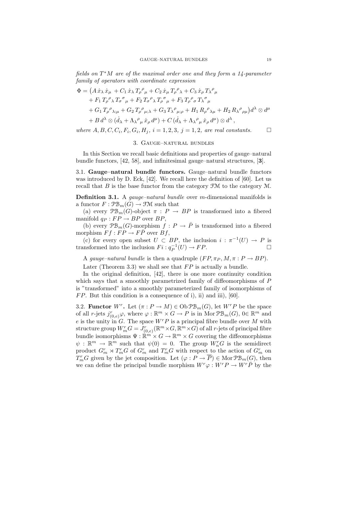fields on  $T^*M$  are of the maximal order one and they form a 14-parameter family of operators with coordinate expression

$$
\Phi = (A\dot{x}_{\lambda}\dot{x}_{\mu} + C_1\dot{x}_{\lambda}T_{\rho}{}^{\rho}{}_{\mu} + C_2\dot{x}_{\mu}T_{\rho}{}^{\rho}{}_{\lambda} + C_3\dot{x}_{\rho}T_{\lambda}{}^{\rho}{}_{\mu} \n+ F_1T_{\rho}{}^{\rho}{}_{\lambda}T_{\sigma}{}^{\sigma}{}_{\mu} + F_2T_{\sigma}{}^{\rho}{}_{\lambda}T_{\rho}{}^{\sigma}{}_{\mu} + F_3T_{\rho}{}^{\rho}{}_{\sigma}T_{\lambda}{}^{\sigma}{}_{\mu} \n+ G_1T_{\rho}{}^{\rho}{}_{\lambda;\mu} + G_2T_{\rho}{}^{\rho}{}_{\mu;\lambda} + G_3T_{\lambda}{}^{\rho}{}_{\mu;\rho} + H_1R_{\rho}{}^{\rho}{}_{\lambda\mu} + H_2R_{\lambda}{}^{\rho}{}_{\rho\mu})d^{\lambda} \otimes d^{\mu} \n+ B d^{\lambda} \otimes (\dot{d}_{\lambda} + \Lambda_{\lambda}{}^{\rho}{}_{\mu}\dot{x}_{\rho} d^{\mu}) + C (\dot{d}_{\lambda} + \Lambda_{\lambda}{}^{\rho}{}_{\mu}\dot{x}_{\rho} d^{\mu}) \otimes d^{\lambda},
$$

where  $A, B, C, C_i, F_i, G_i, H_j, i = 1, 2, 3, j = 1, 2, are real constants.$ 

## 3. Gauge–natural bundles

In this Section we recall basic definitions and properties of gauge–natural bundle functors, [42, 58], and infinitesimal gauge–natural structures, [3].

3.1. Gauge–natural bundle functors. Gauge–natural bundle functors was introduced by D. Eck, [42]. We recall here the definition of [60]. Let us recall that  $B$  is the base functor from the category  $\mathfrak{F}M$  to the category  $\mathfrak{M}$ .

**Definition 3.1.** A *gauge–natural bundle* over *m*-dimensional manifolds is a functor  $F: \mathcal{PB}_m(G) \to \mathcal{FM}$  such that

(a) every  $\mathcal{PB}_m(G)$ -object  $\pi : P \to BP$  is transformed into a fibered manifold  $q_P : FP \rightarrow BP$  over  $BP$ ,

(b) every  $\mathcal{PB}_m(G)$ -morphism  $f: P \to \overline{P}$  is transformed into a fibered morphism  $F f : FP \to F\overline{P}$  over  $Bf$ ,

(c) for every open subset  $U \subset BP$ , the inclusion  $i : \pi^{-1}(U) \to P$  is transformed into the inclusion  $Fi: q_P^{-1}(U) \to FP$ .

A gauge–natural bundle is then a quadruple  $(FP, \pi_P, M, \pi : P \to BP)$ .

Later (Theorem 3.3) we shall see that  $FP$  is actually a bundle.

In the original definition, [42], there is one more continuity condition which says that a smoothly parametrized family of diffeomorphisms of P is "transformed" into a smoothly parameterized family of isomorphisms of  $FP$ . But this condition is a consequence of i), ii) and iii), [60].

3.2. **Functor**  $W^r$ . Let  $(\pi : P \to M) \in \mathrm{Ob} \mathcal{PB}_m(G)$ , let  $W^r P$  be the space of all r-jets  $j_{(0,e)}^r \varphi$ , where  $\varphi : \mathbb{R}^m \times G \to P$  is in Mor  $\mathcal{PB}_m(G)$ ,  $0 \in \mathbb{R}^m$  and e is the unity in  $G$ . The space  $W^r P$  is a principal fibre bundle over M with structure group  $W_m^r G = J^r_{(0,e)}(\mathbb{R}^m \times G, \mathbb{R}^m \times G)$  of all r-jets of principal fibre bundle isomorphisms  $\Psi : \mathbb{R}^m \times G \to \mathbb{R}^m \times G$  covering the diffeomorphisms  $\psi : \mathbb{R}^m \to \mathbb{R}^m$  such that  $\psi(0) = 0$ . The group  $W_n^r G$  is the semidirect product  $G_m^r \rtimes T_m^r G$  of  $G_m^r$  and  $T_m^r G$  with respect to the action of  $G_m^r$  on  $T_m^r G$  given by the jet composition. Let  $(\varphi : P \to \overline{P}) \in \text{Mor } \mathcal{PB}_m(G)$ , then we can define the principal bundle morphism  $W^r\varphi: W^rP \to W^rP$  by the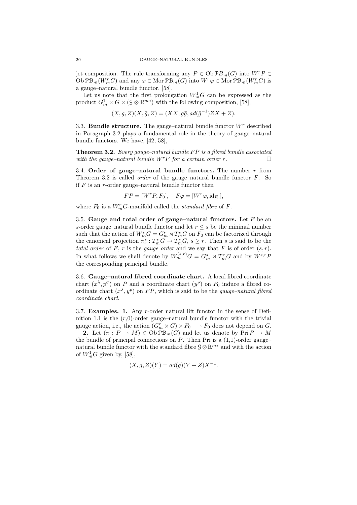jet composition. The rule transforming any  $P \in ObPB<sub>m</sub>(G)$  into  $W<sup>r</sup>P \in$ Ob  $\mathcal{PB}_m(W_m^r G)$  and any  $\varphi \in \text{Mor } \mathcal{PB}_m(G)$  into  $W^r \varphi \in \text{Mor } \mathcal{PB}_m(W_m^r G)$  is a gauge–natural bundle functor, [58].

Let us note that the first prolongation  $W_m^1G$  can be expressed as the product  $G_m^1 \times G \times (\mathcal{G} \otimes \mathbb{R}^{m*})$  with the following composition, [58],

 $(X, g, Z)(\bar{X}, \bar{g}, \bar{Z}) = (X\bar{X}, g\bar{g}, ad(\bar{g}^{-1})Z\bar{X} + \bar{Z}).$ 

3.3. **Bundle structure.** The gauge–natural bundle functor  $W<sup>r</sup>$  described in Paragraph 3.2 plays a fundamental role in the theory of gauge–natural bundle functors. We have, [42, 58],

**Theorem 3.2.** Every gauge–natural bundle  $FP$  is a fibred bundle associated with the gauge-natural bundle  $W^r P$  for a certain order r.

3.4. Order of gauge–natural bundle functors. The number  $r$  from Theorem 3.2 is called *order* of the gauge–natural bundle functor  $F$ . So if  $F$  is an r-order gauge–natural bundle functor then

$$
FP = [W^r P, F_0], \quad F\varphi = [W^r \varphi, \mathrm{id}_{F_0}],
$$

where  $F_0$  is a  $W_m^r G$ -manifold called the *standard fibre* of  $F$ .

3.5. Gauge and total order of gauge–natural functors. Let  $F$  be an s-order gauge–natural bundle functor and let  $r < s$  be the minimal number such that the action of  $W_m^s G = G_m^s \rtimes T_m^s G$  on  $F_0$  can be factorized through the canonical projection  $\pi_r^s: T_m^s G \to T_m^r G$ ,  $s \geq r$ . Then s is said to be the total order of F, r is the gauge order and we say that F is of order  $(s, r)$ . In what follows we shall denote by  $W_m^{(s,r)}G = G_m^s \rtimes T_m^rG$  and by  $W^{s,r}F$ the corresponding principal bundle.

3.6. Gauge–natural fibred coordinate chart. A local fibred coordinate chart  $(x^{\lambda}, p^{\sigma})$  on P and a coordinate chart  $(p^p)$  on  $F_0$  induce a fibred coordinate chart  $(x^{\lambda}, y^p)$  on FP, which is said to be the *gauge-natural fibred* coordinate chart.

3.7. Examples. 1. Any r-order natural lift functor in the sense of Definition 1.1 is the  $(r,0)$ -order gauge–natural bundle functor with the trivial gauge action, i.e., the action  $(G_m^r \times G) \times F_0 \longrightarrow F_0$  does not depend on G.

2. Let  $(\pi : P \to M) \in \mathrm{Ob} \mathcal{PB}_m(G)$  and let us denote by  $\mathrm{Pri}\,P \to M$ the bundle of principal connections on  $P$ . Then Pri is a  $(1,1)$ -order gaugenatural bundle functor with the standard fibre  $\mathcal{G} \otimes \mathbb{R}^{m*}$  and with the action of  $W_m^1G$  given by, [58],

$$
(X, g, Z)(Y) = ad(g)(Y + Z)X^{-1}.
$$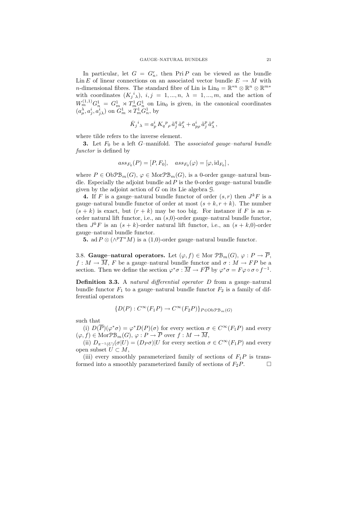In particular, let  $G = G_n^r$ , then  $\text{Pri } P$  can be viewed as the bundle Lin E of linear connections on an associated vector bundle  $E \to M$  with *n*-dimensional fibres. The standard fibre of Lin is  $\text{Lin}_0 = \mathbb{R}^{*n} \otimes \mathbb{R}^n \otimes \mathbb{R}^{m*}$ with coordinates  $(K_j{}^i{}_\lambda), i,j = 1,...,n, \lambda = 1,...,m$ , and the action of  $W_m^{(1,1)} G_n^1 = G_m^1 \rtimes T_m^1 G_n^1$  on Lin<sub>0</sub> is given, in the canonical coordinates  $(a_\mu^{\lambda}, a_j^i, a_j^i)$  on  $G_m^1 \rtimes T_m^1 G_n^1$ , by

$$
\bar{K}_j{}^i{}_ \lambda = a_p^i \, K_q{}^p{}_\rho \, \tilde{a}_j^q \, \tilde{a}_\lambda^\rho + a_{p\rho}^i \, \tilde{a}_j^p \, \tilde{a}_\lambda^\rho \,,
$$

where tilde refers to the inverse element.

**3.** Let  $F_0$  be a left G-manifold. The associated gauge-natural bundle functor is defined by

$$
ass_{F_0}(P) = [P, F_0], \quad ass_{F_0}(\varphi) = [\varphi, id_{F_0}],
$$

where  $P \in \mathrm{Ob}\mathcal{P}\mathcal{B}_m(G)$ ,  $\varphi \in \mathrm{Mor}\mathcal{P}\mathcal{B}_m(G)$ , is a 0-order gauge–natural bundle. Especially the adjoint bundle ad  $P$  is the 0-order gauge–natural bundle given by the adjoint action of  $G$  on its Lie algebra  $\mathcal G$ .

4. If F is a gauge–natural bundle functor of order  $(s, r)$  then  $J^kF$  is a gauge–natural bundle functor of order at most  $(s + k, r + k)$ . The number  $(s + k)$  is exact, but  $(r + k)$  may be too big. For instance if F is an sorder natural lift functor, i.e., an  $(s,0)$ -order gauge–natural bundle functor, then  $J^k F$  is an  $(s + k)$ -order natural lift functor, i.e., an  $(s + k, 0)$ -order gauge–natural bundle functor.

**5.** ad  $P \otimes (\wedge^p T^*M)$  is a (1,0)-order gauge–natural bundle functor.

3.8. Gauge–natural operators. Let  $(\varphi, f) \in \text{Mor } \mathcal{PB}_m(G), \varphi : P \to \overline{P}$ ,  $f: M \to \overline{M}$ , F be a gauge–natural bundle functor and  $\sigma: M \to FP$  be a section. Then we define the section  $\varphi^*\sigma : \overline{M} \to F\overline{P}$  by  $\varphi^*\sigma = F\varphi \circ \sigma \circ f^{-1}$ .

Definition 3.3. A natural differential operator D from a gauge–natural bundle functor  $F_1$  to a gauge–natural bundle functor  $F_2$  is a family of differential operators

$$
\{D(P): C^{\infty}(F_1P) \to C^{\infty}(F_2P)\}_{P \in \text{Ob}\mathcal{PB}_m(G)}
$$

such that

(i)  $D(\overline{P})(\varphi^*\sigma) = \varphi^*D(P)(\sigma)$  for every section  $\sigma \in C^{\infty}(F_1P)$  and every  $(\varphi, f) \in \text{Mor}\mathfrak{PB}_m(G), \varphi: P \to \overline{P}$  over  $f: M \to \overline{M}$ ,

(ii)  $D_{\pi^{-1}(U)}(\sigma|U) = (D_P \sigma)|U$  for every section  $\sigma \in C^{\infty}(F_1 P)$  and every open subset  $U \subset M$ ,

(iii) every smoothly parameterized family of sections of  $F_1P$  is transformed into a smoothly parameterized family of sections of  $F_2P$ .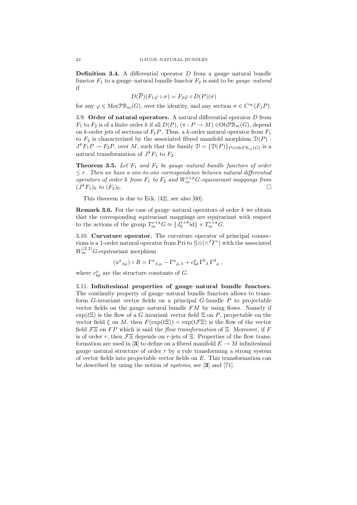**Definition 3.4.** A differential operator  $D$  from a gauge–natural bundle functor  $F_1$  to a gauge–natural bundle functor  $F_2$  is said to be *gauge–natural* if

$$
D(\overline{P})(F_1\varphi \circ \sigma) = F_2\varphi \circ D(P)(\sigma)
$$

for any  $\varphi \in \text{Mor}\mathcal{P}\mathcal{B}_m(G)$ , over the identity, and any section  $\sigma \in C^{\infty}(F_1P)$ .

3.9. Order of natural operators. A natural differential operator  $D$  from  $F_1$  to  $F_2$  is of a finite order k if all  $D(P)$ ,  $(\pi : P \to M) \in \mathrm{Ob} \mathcal{PB}_m(G)$ , depend on k-order jets of sections of  $F_1P$ . Thus, a k-order natural operator from  $F_1$ to  $F_2$  is characterized by the associated fibred manifold morphism  $\mathcal{D}(P)$ :  $J^k F_1 P \to F_2 P$ , over M, such that the family  $\mathcal{D} = {\mathcal{D}(P)}_{P \in \text{ObpB}_{m}(G)}$  is a natural transformation of  $J^k F_1$  to  $F_2$ .

**Theorem 3.5.** Let  $F_1$  and  $F_2$  be gauge–natural bundle functors of order  $\leq r$ . Then we have a one-to-one correspondence between natural differential operators of order k from  $F_1$  to  $F_2$  and  $W_m^{r+k}$  G-equivariant mappings from  $(J^k F_1)_0$  to  $(F_2)_0$ .

This theorem is due to Eck, [42], see also [60].

**Remark 3.6.** For the case of gauge–natural operators of order  $k$  we obtain that the corresponding equivariant mappings are equivariant with respect to the actions of the group  $T_m^{r+k}G \approx \{J_0^{r+k} \text{id}\}\times T_m^{r+k}G$ .

3.10. Curvature operator. The curvature operator of principal connections is a 1-order natural operator from Pri to  $\mathcal{G}\otimes(\wedge^2 T^*)$  with the associated  $W_m^{(2,2)}$ G-equivariant morphism

$$
(u^a{}_{\lambda\mu})\circ R = \Gamma^a{}_{\lambda,\mu} - \Gamma^a{}_{\mu,\lambda} + c^a_{bd} \Gamma^b{}_{\lambda} \Gamma^d{}_{\mu},
$$

where  $c_{bd}^a$  are the structure constants of G.

3.11. Infinitesimal properties of gauge–natural bundle functors. The continuity property of gauge–natural bundle functors allows to transform  $G$ -invariant vector fields on a principal  $G$ -bundle  $P$  to projectable vector fields on the gauge–natural bundle  $FM$  by using flows. Namely if  $\exp(t\Xi)$  is the flow of a G invariant vector field  $\Xi$  on P, projectable on the vector field  $\xi$  on M, then  $F(\exp(t\Xi)) = \exp(t\mathcal{F}\Xi)$  is the flow of the vector field  $\mathcal{F} \Xi$  on FP which is said the flow transformation of  $\Xi$ . Moreover, if F is of order r, then  $\mathcal{F}\Xi$  depends on r-jets of  $\Xi$ . Properties of the flow transformation are used in [3] to define on a fibred manifold  $E \to M$  infinitesimal gauge–natural structure of order  $r$  by a rule transforming a strong system of vector fields into projectable vector fields on  $E$ . This transformation can be described by using the notion of systems, see [3] and [71].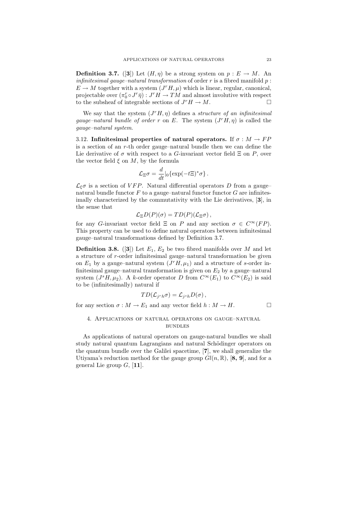**Definition 3.7.** ([3]) Let  $(H, \eta)$  be a strong system on  $p : E \to M$ . An infinitesimal gauge–natural transformation of order  $r$  is a fibred manifold  $p$ :  $E \to M$  together with a system  $(J^r H, \mu)$  which is linear, regular, canonical, projectable over  $(\pi_0^r \circ J^r \bar{\eta}) : J^r H \to TM$  and almost involutive with respect to the subsheaf of integrable sections of  $J^r H \to M$ .

We say that the system  $(J^r H, \eta)$  defines a *structure of an infinitesimal* gauge–natural bundle of order r on E. The system  $(J^r H, \eta)$  is called the gauge–natural system.

3.12. Infinitesimal properties of natural operators. If  $\sigma : M \to FP$ is a section of an r-th order gauge–natural bundle then we can define the Lie derivative of  $\sigma$  with respect to a G-invariant vector field  $\Xi$  on P, over the vector field  $\xi$  on  $M$ , by the formula

$$
\mathcal{L}_{\Xi}\sigma = \frac{d}{dt}|_0 \{\exp(-t\Xi)^*\sigma\}.
$$

 $\mathcal{L}_{\xi}\sigma$  is a section of VFP. Natural differential operators D from a gauge– natural bundle functor  $F$  to a gauge–natural functor functor  $G$  are infinitesimally characterized by the commutativity with the Lie derivatives, [3], in the sense that

$$
\mathcal{L}_{\Xi}D(P)(\sigma) = TD(P)(\mathcal{L}_{\Xi}\sigma),
$$

for any G-invariant vector field  $\Xi$  on P and any section  $\sigma \in C^{\infty}(FP)$ . This property can be used to define natural operators between infinitesimal gauge–natural transformations defined by Definition 3.7.

**Definition 3.8.** ([3]) Let  $E_1, E_2$  be two fibred manifolds over M and let a structure of r-order infinitesimal gauge–natural transformation be given on  $E_1$  by a gauge–natural system  $(J^r H, \mu_1)$  and a structure of s-order infinitesimal gauge–natural transformation is given on  $E_2$  by a gauge–natural system  $(J^s H, \mu_2)$ . A k-order operator D from  $C^{\infty}(E_1)$  to  $C^{\infty}(E_2)$  is said to be (infinitesimally) natural if

$$
TD(\mathcal{L}_{j^r h} \sigma) = \mathcal{L}_{j^s h} D(\sigma) \,,
$$

for any section  $\sigma : M \to E_1$  and any vector field  $h : M \to H$ .

## 4. Applications of natural operators on gauge–natural **BUNDLES**

As applications of natural operators on gauge-natural bundles we shall study natural quantum Lagrangians and natural Schödinger operators on the quantum bundle over the Galilei spacetime, [7], we shall generalize the Utiyama's reduction method for the gauge group  $Gl(n,\mathbb{R}),$  [8, 9], and for a general Lie group  $G$ , [11].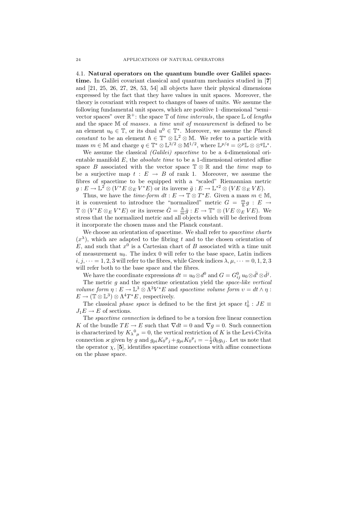4.1. Natural operators on the quantum bundle over Galilei spacetime. In Galilei covariant classical and quantum mechanics studied in [7] and [21, 25, 26, 27, 28, 53, 54] all objects have their physical dimensions expressed by the fact that they have values in unit spaces. Moreover, the theory is covariant with respect to changes of bases of units. We assume the following fundamental unit spaces, which are positive 1–dimensional "semi– vector spaces" over  $\mathbb{R}^+$ : the space  $\mathbb T$  of time intervals, the space  $\mathbb L$  of lengths and the space M of masses. a time unit of measurement is defined to be an element  $u_0 \in \mathbb{T}$ , or its dual  $u^0 \in \mathbb{T}^*$ . Moreover, we assume the *Planck* constant to be an element  $h \in \mathbb{T}^* \otimes \mathbb{L}^2 \otimes \mathbb{M}$ . We refer to a particle with mass  $m \in \mathbb{M}$  and charge  $q \in \mathbb{T}^* \otimes \mathbb{L}^{3/2} \otimes \mathbb{M}^{1/2}$ , where  $\mathbb{L}^{p/q} = \otimes^p \mathbb{L} \otimes \otimes^q \mathbb{L}^*$ .

We assume the classical *(Galilei)* spacetime to be a 4-dimensional orientable manifold  $E$ , the *absolute time* to be a 1-dimensional oriented affine space B associated with the vector space  $\mathbb{T} \otimes \mathbb{R}$  and the time map to be a surjective map  $t : E \to B$  of rank 1. Moreover, we assume the fibres of spacetime to be equipped with a "scaled" Riemannian metric  $g: E \to \mathbb{L}^2 \otimes (V^*E \otimes_E V^*E)$  or its inverse  $\bar{g}: E \to \mathbb{L}^{*2} \otimes (VE \otimes_E VE).$ 

Thus, we have the *time-form*  $dt : E \to \mathbb{T} \otimes T^*E$ . Given a mass  $m \in \mathbb{M}$ , it is convenient to introduce the "normalized" metric  $G = \frac{m}{\hbar}g : E \to$  $\mathbb{T} \otimes (V^*E \otimes_E V^*E)$  or its inverse  $\bar{G} = \frac{\hbar}{m}\bar{g} : E \to \mathbb{T}^* \otimes (VE \otimes_E \nu E)$ . We stress that the normalized metric and all objects which will be derived from it incorporate the chosen mass and the Planck constant.

We choose an orientation of spacetime. We shall refer to *spacetime charts*  $(x^{\lambda})$ , which are adapted to the fibring t and to the chosen orientation of E, and such that  $x^0$  is a Cartesian chart of B associated with a time unit of measurement  $u_0$ . The index 0 will refer to the base space, Latin indices i,  $j, \dots = 1, 2, 3$  will refer to the fibres, while Greek indices  $\lambda, \mu, \dots = 0, 1, 2, 3$ will refer both to the base space and the fibres.

We have the coordinate expressions  $dt = u_0 \otimes d^0$  and  $G = G_{ij}^0 u_0 \otimes d^i \otimes d^j$ .

The metric  $g$  and the spacetime orientation yield the *space-like vertical* volume form  $\eta: E \to \mathbb{L}^3 \otimes \Lambda^3 V^*E$  and spacetime volume form  $v = dt \wedge \eta$ :  $E \to (\mathbb{T} \otimes \mathbb{L}^3) \otimes \Lambda^4 T^*E$ , respectively.

The classical *phase space* is defined to be the first jet space  $t_0^1 : JE \equiv$  $J_1E \to E$  of sections.

The spacetime connection is defined to be a torsion free linear connection K of the bundle  $TE \rightarrow E$  such that  $\nabla dt = 0$  and  $\nabla g = 0$ . Such connection is characterized by  $K_{\lambda}{}^{0}{}_{\mu} = 0$ , the vertical restriction of K is the Levi-Civita connection  $\varkappa$  given by g and  $g_{pi}K_0^p{}_{j} + g_{pi}K_0^p{}_{i} = -\frac{1}{2}\partial_0 g_{ij}$ . Let us note that the operator  $\chi$ , [5], identifies spacetime connections with affine connections on the phase space.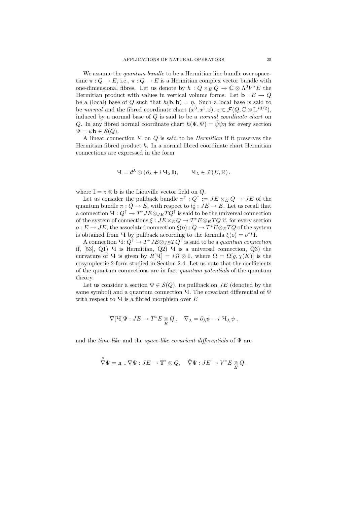We assume the *quantum bundle* to be a Hermitian line bundle over spacetime  $\pi: Q \to E$ , i.e.,  $\pi: Q \to E$  is a Hermitian complex vector bundle with one-dimensional fibres. Let us denote by  $h: Q \times_E Q \to \mathbb{C} \otimes \Lambda^3 V^*E$  the Hermitian product with values in vertical volume forms. Let  $\mathbf{b} : E \to Q$ be a (local) base of Q such that  $h(\mathbf{b}, \mathbf{b}) = n$ . Such a local base is said to be normal and the fibred coordinate chart  $(x^0, x^i, z)$ ,  $z \in \mathcal{F}(Q, \mathbb{C} \otimes \mathbb{L}^{*3/2})$ , induced by a normal base of  $Q$  is said to be a normal coordinate chart on Q. In any fibred normal coordinate chart  $h(\Psi, \Psi) = \bar{\psi}\psi\eta$  for every section  $\Psi = \psi \mathbf{b} \in \mathcal{S}(Q)$ .

A linear connection  $\Psi$  on  $Q$  is said to be *Hermitian* if it preserves the Hermitian fibred product  $h$ . In a normal fibred coordinate chart Hermitian connections are expressed in the form

$$
H = d^{\lambda} \otimes (\partial_{\lambda} + i \, H_{\lambda} \, \mathbb{I}), \qquad H_{\lambda} \in \mathcal{F}(E, \mathbb{R}),
$$

where  $\mathbb{I} = z \otimes \mathbf{b}$  is the Liouville vector field on  $Q$ .

Let us consider the pullback bundle  $\pi^{\uparrow}$  :  $Q^{\uparrow}$  :=  $JE \times_E Q \rightarrow JE$  of the quantum bundle  $\pi: Q \to E$ , with respect to  $t_0^1: JE \to E$ . Let us recall that a connection  $\mathbf{q}: Q^{\uparrow} \to T^* J E \otimes_{J E} T Q^{\uparrow}$  is said to be the universal connection of the system of connections  $\xi : JE \times_E Q \to T^*E \otimes_E TQ$  if, for every section  $o: E \to JE$ , the associated connection  $\xi(o): Q \to T^*E \otimes_E TQ$  of the system is obtained from **Y** by pullback according to the formula  $\xi(o) = o^* \mathbf{V}$ .

A connection  $\mathbf{Q}^{\dagger} \to T^* J E \otimes_{J E} T Q^{\dagger}$  is said to be a *quantum connection* if,  $[53]$ , Q1)  $\vee$  is Hermitian, Q2)  $\vee$  is a universal connection, Q3) the curvature of Y is given by  $R[\mathcal{Y}] = i \Omega \otimes \mathbb{I}$ , where  $\Omega = \Omega[g, \chi(K)]$  is the cosymplectic 2-form studied in Section 2.4. Let us note that the coefficients of the quantum connections are in fact quantum potentials of the quantum theory.

Let us consider a section  $\Psi \in \mathcal{S}(Q)$ , its pullback on  $JE$  (denoted by the same symbol) and a quantum connection  $\Psi$ . The covariant differential of  $\Psi$ with respect to  $\Psi$  is a fibred morphism over  $E$ 

$$
\nabla[\mathbf{U}]\Psi:JE\to T^*E\underset{E}{\otimes}Q\,,\quad\nabla_{\lambda}=\partial_{\lambda}\psi-i\,\,\mathbf{U}_{\lambda}\,\psi\,,
$$

and the time-like and the space-like covariant differentials of  $\Psi$  are

$$
\overset{\circ}{\nabla} \Psi = \pi \cup \nabla \Psi : JE \to \mathbb{T}^* \otimes Q, \quad \check{\nabla} \Psi : JE \to V^*E \underset{E}{\otimes} Q.
$$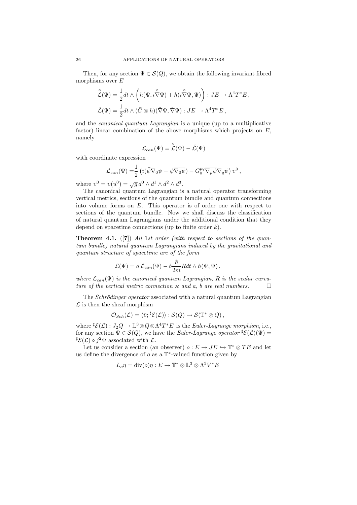Then, for any section  $\Psi \in \mathcal{S}(Q)$ , we obtain the following invariant fibred morphisms over  $E$ 

$$
\tilde{\mathcal{L}}(\Psi) = \frac{1}{2} dt \wedge \left( h(\Psi, i \overset{\circ}{\nabla} \Psi) + h(i \overset{\circ}{\nabla} \Psi, \Psi) \right) : JE \to \Lambda^4 T^* E ,
$$
  

$$
\check{\mathcal{L}}(\Psi) = \frac{1}{2} dt \wedge (\bar{G} \otimes h)(\check{\nabla} \Psi, \check{\nabla} \Psi) : JE \to \Lambda^4 T^* E ,
$$

and the canonical quantum Lagrangian is a unique (up to a multiplicative factor) linear combination of the above morphisms which projects on  $E$ , namely

$$
\mathcal{L}_{\mathit{can}}(\Psi)=\overset{\circ}{\mathcal{L}}(\Psi)-\check{\mathcal{L}}(\Psi)
$$

with coordinate expression

$$
\mathcal{L}_{can}(\Psi) = \frac{1}{2} \left( i(\bar{\psi} \nabla_0 \psi - \psi \overline{\nabla_0 \psi}) - G_0^{pq} \overline{\nabla_p \psi} \nabla_q \psi \right) v^0,
$$

where  $v^0 = v(u^0) = \sqrt{g} d^0 \wedge d^1 \wedge d^2 \wedge d^3$ .

The canonical quantum Lagrangian is a natural operator transforming vertical metrics, sections of the quantum bundle and quantum connections into volume forms on  $E$ . This operator is of order one with respect to sections of the quantum bundle. Now we shall discuss the classification of natural quantum Lagrangians under the additional condition that they depend on spacetime connections (up to finite order  $k$ ).

**Theorem 4.1.** ([7]) All 1st order (with respect to sections of the quantum bundle) natural quantum Lagrangians induced by the gravitational and quantum structure of spacetime are of the form

$$
\mathcal{L}(\Psi) = a \mathcal{L}_{can}(\Psi) - b \frac{\hbar}{2m} R dt \wedge h(\Psi, \Psi) ,
$$

where  $\mathcal{L}_{can}(\Psi)$  is the canonical quantum Lagrangian, R is the scalar curvature of the vertical metric connection  $x$  and a, b are real numbers.  $\Box$ 

The *Schrödinger operator* associated with a natural quantum Lagrangian  $\mathcal L$  is then the sheaf morphism

$$
\mathcal{O}_{Sch}(\mathcal{L}) = \langle \bar{v}; {}^{\sharp}\mathcal{E}(\mathcal{L}) \rangle : \mathcal{S}(Q) \to \mathcal{S}(\mathbb{T}^* \otimes Q) ,
$$

where  ${}^{\sharp} \mathcal{E}(\mathcal{L}): J_2Q \to \mathbb{L}^3 \otimes Q \otimes \Lambda^4T^*E$  is the *Euler-Lagrange morphism*, i.e., for any section  $\Psi \in \mathcal{S}(Q)$ , we have the *Euler-Lagrange operator*  ${}^{\sharp}\mathcal{E}(\mathcal{L})(\Psi) =$  $^{\sharp}\mathcal{E}(\mathcal{L}) \circ j^2\Psi$  associated with  $\mathcal{L}$ .

Let us consider a section (an observer)  $o: E \to JE \hookrightarrow \mathbb{T}^* \otimes TE$  and let us define the divergence of  $o$  as a  $\mathbb{T}^*$ -valued function given by

$$
L_o \eta = \text{div}(o) \eta : E \to \mathbb{T}^* \otimes \mathbb{L}^3 \otimes \Lambda^3 V^* E
$$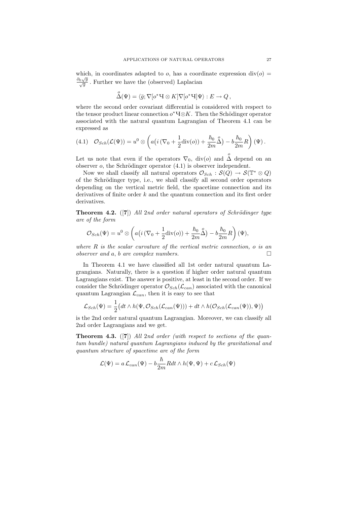which, in coordinates adapted to  $o$ , has a coordinate expression  $div(o)$  $\frac{\partial_0 \sqrt{g}}{\sqrt{g}}$ . Further we have the (observed) Laplacian

$$
\overset{o}{\Delta}(\Psi) = \langle \bar{g}; \nabla[o^*\mathbf{H} \otimes K] \nabla[o^*\mathbf{H}] \Psi \rangle : E \to Q,
$$

where the second order covariant differential is considered with respect to the tensor product linear connection  $o^* \mathcal{A} \otimes K$ . Then the Schödinger operator associated with the natural quantum Lagrangian of Theorem 4.1 can be expressed as

(4.1) 
$$
\mathcal{O}_{Sch}(\mathcal{L}(\Psi)) = u^0 \otimes \left( a \left( i \left( \nabla_0 + \frac{1}{2} \text{div}(o) \right) + \frac{\hbar_0}{2m} \overset{o}{\Delta} \right) - b \frac{\hbar_0}{2m} R \right) (\Psi).
$$

Let us note that even if the operators  $\nabla_0$ , div(*o*) and  $\stackrel{o}{\Delta}$  depend on an observer  $o$ , the Schrödinger operator  $(4.1)$  is observer independent.

Now we shall classify all natural operators  $\mathcal{O}_{Sch} : \mathcal{S}(Q) \to \mathcal{S}(\mathbb{T}^* \otimes Q)$ of the Schrödinger type, i.e., we shall classify all second order operators depending on the vertical metric field, the spacetime connection and its derivatives of finite order  $k$  and the quantum connection and its first order derivatives.

**Theorem 4.2.** ([7]) All 2nd order natural operators of Schrödinger type are of the form

$$
\mathcal{O}_{Sch}(\Psi) = u^0 \otimes \left( a\left(i\left(\nabla_0 + \frac{1}{2} \operatorname{div}(o)\right) + \frac{\hbar_0}{2m} \overset{o}{\Delta} \right) - b\frac{\hbar_0}{2m} R \right)(\Psi),
$$

where  $R$  is the scalar curvature of the vertical metric connection, o is an  $\Box$ observer and a, b are complex numbers.

In Theorem 4.1 we have classified all 1st order natural quantum Lagrangians. Naturally, there is a question if higher order natural quantum Lagrangians exist. The answer is positive, at least in the second order. If we consider the Schrödinger operator  $\mathcal{O}_{Sch}(\mathcal{L}_{can})$  associated with the canonical quantum Lagrangian  $\mathcal{L}_{can}$ , then it is easy to see that

$$
\mathcal{L}_{Sch}(\Psi) = \frac{1}{2} \big( dt \wedge h(\Psi, \mathcal{O}_{Sch}(\mathcal{L}_{can}(\Psi))) + dt \wedge h(\mathcal{O}_{Sch}(\mathcal{L}_{can}(\Psi)), \Psi) \big)
$$

is the 2nd order natural quantum Lagrangian. Moreover, we can classify all 2nd order Lagrangians and we get.

**Theorem 4.3.** ([7]) All 2nd order (with respect to sections of the quantum bundle) natural quantum Lagrangians induced by the gravitational and quantum structure of spacetime are of the form

$$
\mathcal{L}(\Psi) = a \mathcal{L}_{can}(\Psi) - b \frac{\hbar}{2m} R dt \wedge h(\Psi, \Psi) + c \mathcal{L}_{Sch}(\Psi)
$$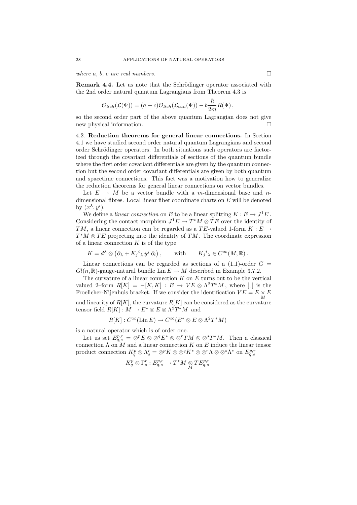where  $a, b, c$  are real numbers.

Remark 4.4. Let us note that the Schrödinger operator associated with the 2nd order natural quantum Lagrangians from Theorem 4.3 is

$$
\mathcal{O}_{Sch}(\mathcal{L}(\Psi)) = (a+c)\mathcal{O}_{Sch}(\mathcal{L}_{can}(\Psi)) - b\frac{\hbar}{2m}R(\Psi),
$$

so the second order part of the above quantum Lagrangian does not give new physical information.

4.2. Reduction theorems for general linear connections. In Section 4.1 we have studied second order natural quantum Lagrangians and second order Schrödinger operators. In both situations such operators are factorized through the covariant differentials of sections of the quantum bundle where the first order covariant differentials are given by the quantum connection but the second order covariant differentials are given by both quantum and spacetime connections. This fact was a motivation how to generalize the reduction theorems for general linear connections on vector bundles.

Let  $E \rightarrow M$  be a vector bundle with a m-dimensional base and ndimensional fibres. Local linear fiber coordinate charts on  $E$  will be denoted by  $(x^{\lambda}, y^i)$ .

We define a *linear connection* on E to be a linear splitting  $K : E \to J^1E$ . Considering the contact morphism  $J^1E \to T^*M \otimes TE$  over the identity of TM, a linear connection can be regarded as a TE-valued 1-form  $K : E \to$  $T^*M \otimes TE$  projecting into the identity of TM. The coordinate expression of a linear connection  $K$  is of the type

$$
K = d^{\lambda} \otimes \left(\partial_{\lambda} + K_j{}^{i}{}_{\lambda} y^{j} \partial_{i}\right), \qquad \text{with} \qquad K_j{}^{i}{}_{\lambda} \in C^{\infty}(M,\mathbb{R}).
$$

Linear connections can be regarded as sections of a  $(1,1)$ -order  $G =$  $Gl(n, \mathbb{R})$ -gauge-natural bundle Lin  $E \to M$  described in Example 3.7.2.

The curvature of a linear connection  $K$  on  $E$  turns out to be the vertical valued 2-form  $R[K] = -[K, K] : E \to VE \otimes \Lambda^2 T^*M$ , where  $[,]$  is the Froelicher-Nijenhuis bracket. If we consider the identification  $VE = E \times E$ M and linearity of  $R[K]$ , the curvature  $R[K]$  can be considered as the curvature tensor field  $R[K] : M \to E^* \otimes E \otimes \Lambda^2 T^*M$  and

$$
R[K]: C^{\infty}(\text{Lin } E) \to C^{\infty}(E^* \otimes E \otimes \Lambda^2 T^*M)
$$

is a natural operator which is of order one.

Let us set  $E_{q,s}^{p,r} = \otimes^p E \otimes \otimes^q E^* \otimes \otimes^r TM \otimes \otimes^s T^*M$ . Then a classical connection  $\Lambda$  on  $M$  and a linear connection K on E induce the linear tensor product connection  $K_q^p \otimes \Lambda_s^r = \otimes^p K \otimes \otimes^q K^* \otimes \otimes^r \Lambda \otimes \otimes^s \Lambda^*$  on  $E_{q,s}^{p,r}$ 

$$
K^p_q\otimes \Gamma^r_s:E^{p,r}_{q,s}\to T^*M\underset{M}{\otimes} TE^{p,r}_{q,s}
$$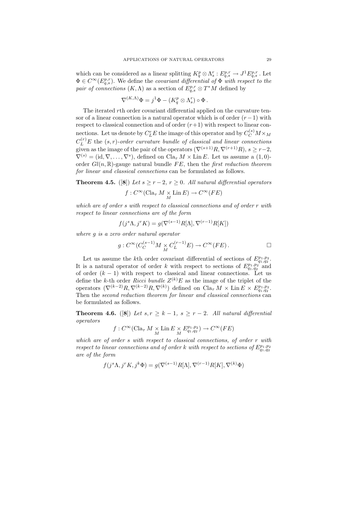which can be considered as a linear splitting  $K_q^p \otimes \Lambda_s^r : E_{q,s}^{p,r} \to J^1 E_{q,s}^{p,r}$ . Let  $\Phi \in C^{\infty}(E_{q,s}^{p,r})$ . We define the covariant differential of  $\Phi$  with respect to the pair of connections  $(K, \Lambda)$  as a section of  $E_{q,s}^{p,r} \otimes T^*M$  defined by

$$
\nabla^{(K,\Lambda)}\Phi = j^1\Phi - (K_q^p \otimes \Lambda_s^r) \circ \Phi.
$$

The iterated rth order covariant differential applied on the curvature tensor of a linear connection is a natural operator which is of order  $(r-1)$  with respect to classical connection and of order  $(r+1)$  with respect to linear connections. Let us denote by  $C^r_L E$  the image of this operator and by  $C^{(s)}_C M \times_M$  $C_{L}^{(r)}E$  the  $(s,r)$ -order curvature bundle of classical and linear connections given as the image of the pair of the operators  $(\nabla^{(s+1)}R, \nabla^{(r+1)}R), s \geq r-2$ ,  $\nabla^{(s)} = (\text{id}, \nabla, \dots, \nabla^s)$ , defined on  $\text{Cla}_\tau M \times \text{Lin } E$ . Let us assume a  $(1,0)$ order  $Gl(n, \mathbb{R})$ -gauge natural bundle FE, then the first reduction theorem for linear and classical connections can be formulated as follows.

**Theorem 4.5.** ([8]) Let  $s \ge r-2$ ,  $r \ge 0$ . All natural differential operators  $f: C^{\infty}(\text{Cla}_{\tau} M \underset{M}{\times} \text{Lin } E) \to C^{\infty}(FE)$ 

which are of order s with respect to classical connections and of order r with respect to linear connections are of the form

$$
f(j^{s}\Lambda, j^{r}K) = g(\nabla^{(s-1)}R[\Lambda], \nabla^{(r-1)}R[K])
$$

where g is a zero order natural operator

$$
g: C^{\infty}(C_C^{(s-1)}M \underset{M}{\times} C_L^{(r-1)}E) \to C^{\infty}(FE) . \qquad \qquad \Box
$$

Let us assume the kth order covariant differential of sections of  $E_{q_1,q_2}^{p_1,p_2}$ . It is a natural operator of order k with respect to sections of  $E_{q_1,q_2}^{p_1,p_2}$  and of order  $(k-1)$  with respect to classical and linear connections. Let us define the k-th order *Ricci bundle*  $Z^{(k)}E$  as the image of the triplet of the operators  $(\nabla^{(k-2)}R, \nabla^{(k-2)}R, \nabla^{(k)})$  defined on  $\text{Cla}_{\tau} M \times \text{Lin } E \times E_{q_1,q_2}^{p_1,p_2}$ . Then the second reduction theorem for linear and classical connections can be formulated as follows.

**Theorem 4.6.** ([8]) Let  $s, r \geq k-1, s \geq r-2$ . All natural differential operators

$$
f: C^{\infty}(\text{Cla}_{\tau} M \underset{M}{\times} \text{Lin } E \underset{M}{\times} E_{q_1,q_2}^{p_1,p_2}) \to C^{\infty}(FE)
$$

which are of order s with respect to classical connections, of order r with respect to linear connections and of order k with respect to sections of  $E_{q_1,q_2}^{p_1,p_2}$ are of the form

$$
f(j^{s}\Lambda, j^{r}K, j^{k}\Phi) = g(\nabla^{(s-1)}R[\Lambda], \nabla^{(r-1)}R[K], \nabla^{(k)}\Phi)
$$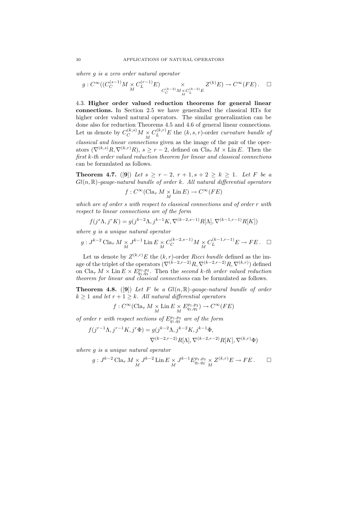where g is a zero order natural operator

$$
g: C^\infty((C_C^{(s-1)}M\times C_L^{(r-1)}E)\underset{C_C^{(k-2)}M\times C_L^{(k-2)}E}{\times}Z^{(k)}E)\to C^\infty(FE)\,.\quad \Box
$$

4.3. Higher order valued reduction theorems for general linear connections. In Section 2.5 we have generalized the classical RTs for higher order valued natural operators. The similar generalization can be done also for reduction Theorems 4.5 and 4.6 of general linear connections. Let us denote by  $C_C^{(k,s)}M \times C_L^{(k,r)}E$  the  $(k,s,r)$ -order curvature bundle of  $\overline{M}$  classical and linear connections given as the image of the pair of the operators  $(\nabla^{(k,s)}R, \nabla^{(k,r)}R), s > r-2$ , defined on  $\text{Cla}_\tau M \times \text{Lin } E$ . Then the first k-th order valued reduction theorem for linear and classical connections can be formulated as follows.

**Theorem 4.7.** ([9]) Let  $s \ge r - 2$ ,  $r + 1$ ,  $s + 2 \ge k \ge 1$ . Let F be a  $Gl(n, \mathbb{R})$ -gauge-natural bundle of order k. All natural differential operators

$$
f: C^\infty(\operatorname{Cla}_\tau M \mathop{\times}\limits_M \mathop{\rm Lin}\nolimits E) \to C^\infty(FE)
$$

which are of order s with respect to classical connections and of order r with respect to linear connections are of the form

$$
f(j^{s}\Lambda, j^{r}K) = g(j^{k-2}\Lambda, j^{k-1}K, \nabla^{(k-2,s-1)}R[\Lambda], \nabla^{(k-1,r-1)}R[K])
$$

where g is a unique natural operator

$$
g: J^{k-2} \operatorname{Cla}_{\tau} M \underset{M}{\times} J^{k-1} \operatorname{Lin} E \underset{M}{\times} C_C^{(k-2, s-1)} M \underset{M}{\times} C_L^{(k-1, r-1)} E \to FE. \quad \Box
$$

Let us denote by  $Z^{(k,r)}E$  the  $(k, r)$ -order Ricci bundle defined as the image of the triplet of the operators  $(\nabla^{(k-2,r-2)}R, \nabla^{(k-2,r-2)}R, \nabla^{(k,r)})$  defined on  $\text{Cla}_{\tau} M \times \text{Lin } E \times E_{q_1,q_2}^{p_1,p_2}$ . Then the second k-th order valued reduction theorem for linear and classical connections can be formulated as follows.

**Theorem 4.8.** ([9]) Let F be a  $Gl(n, \mathbb{R})$ -gauge-natural bundle of order  $k \geq 1$  and let  $r + 1 \geq k$ . All natural differential operators

$$
f: C^\infty(\operatorname{Cla}_\tau M \mathop{\times}\limits_M \mathop{\rm Lin}\nolimits E \mathop{\times}\limits_M E^{p_1,p_2}_{q_1,q_2}) \to C^\infty(FE)
$$

of order r with respect sections of  $E_{q_1,q_2}^{p_1,p_2}$  are of the form

$$
f(j^{r-1}\Lambda, j^{r-1}K, j^r\Phi) = g(j^{k-2}\Lambda, j^{k-2}K, j^{k-1}\Phi,
$$
  

$$
\nabla^{(k-2,r-2)}R[\Lambda], \nabla^{(k-2,r-2)}R[K], \nabla^{(k,r)}\Phi)
$$

where g is a unique natural operator

$$
g: J^{k-2} \operatorname{Cla}_{\tau} M \underset{M}{\times} J^{k-2} \operatorname{Lin} E \underset{M}{\times} J^{k-1} E_{q_1, q_2}^{p_1, p_2} \underset{M}{\times} Z^{(k,r)} E \to FE.
$$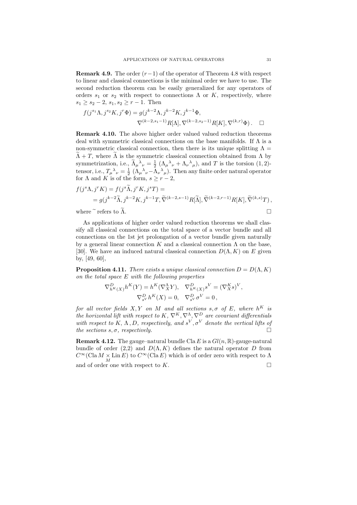**Remark 4.9.** The order  $(r-1)$  of the operator of Theorem 4.8 with respect to linear and classical connections is the minimal order we have to use. The second reduction theorem can be easily generalized for any operators of orders  $s_1$  or  $s_2$  with respect to connections  $\Lambda$  or  $K$ , respectively, where  $s_1 \geq s_2 - 2$ ,  $s_1, s_2 \geq r - 1$ . Then

$$
f(j^{s_1}\Lambda, j^{s_2}K, j^r\Phi) = g(j^{k-2}\Lambda, j^{k-2}K, j^{k-1}\Phi,
$$
  

$$
\nabla^{(k-2,s_1-1)}R[\Lambda], \nabla^{(k-2,s_2-1)}R[K], \nabla^{(k,r)}\Phi).
$$

Remark 4.10. The above higher order valued valued reduction theorems deal with symmetric classical connections on the base manifolds. If Λ is a non-symmetric classical connection, then there is its unique splitting  $\Lambda =$  $\widetilde{\Lambda}$  + T, where  $\widetilde{\Lambda}$  is the symmetric classical connection obtained from  $\Lambda$  by symmetrization, i.e.,  $\tilde{\Lambda}_{\mu}{}^{\lambda}{}_{\nu} = \frac{1}{2} \left( \Lambda_{\mu}{}^{\lambda}{}_{\nu} + \Lambda_{\nu}{}^{\lambda}{}_{\mu} \right)$ , and T is the torsion  $(1, 2)$ tensor, i.e.,  $T_{\mu}{}^{\lambda}{}_{\nu} = \frac{1}{2} (\Lambda_{\mu}{}^{\lambda}{}_{\nu} - \Lambda_{\nu}{}^{\lambda}{}_{\mu}).$  Then any finite order natural operator for  $\Lambda$  and  $K$  is of the form,  $s \geq r-2$ ,

$$
f(j^{s}\Lambda, j^{r}K) = f(j^{s}\widetilde{\Lambda}, j^{r}K, j^{s}T) =
$$
  
=  $g(j^{k-2}\widetilde{\Lambda}, j^{k-2}K, j^{k-1}T, \widetilde{\nabla}^{(k-2,s-1)}R[\widetilde{\Lambda}], \widetilde{\nabla}^{(k-2,r-1)}R[K], \widetilde{\nabla}^{(k,s)}T),$ 

where  $\tilde{\ }$  refers to  $\Lambda$ .

As applications of higher order valued reduction theorems we shall classify all classical connections on the total space of a vector bundle and all connections on the 1st jet prolongation of a vector bundle given naturally by a general linear connection K and a classical connection  $\Lambda$  on the base, [30]. We have an induced natural classical connection  $D(\Lambda, K)$  on E given by, [49, 60],

**Proposition 4.11.** There exists a unique classical connection  $D = D(\Lambda, K)$ on the total space  $E$  with the following properties

$$
\nabla_{h^K(X)}^D h^K(Y) = h^K(\nabla_X^{\Lambda} Y), \quad \nabla_{h^K(X)}^D s^V = (\nabla_X^K s)^V,
$$

$$
\nabla_{s^V}^D h^K(X) = 0, \quad \nabla_{s^V}^D \sigma^V = 0,
$$

for all vector fields  $X, Y$  on M and all sections  $s, \sigma$  of E, where  $h^K$  is the horizontal lift with respect to K,  $\nabla^{K}, \nabla^{\Lambda}, \nabla^{D}$  are covariant differentials with respect to K,  $\Lambda$ , D, respectively, and  $s^V, \sigma^V$  denote the vertical lifts of the sections  $s, \sigma$ , respectively.

**Remark 4.12.** The gauge–natural bundle Cla E is a  $Gl(n,\mathbb{R})$ -gauge-natural bundle of order (2,2) and  $D(\Lambda, K)$  defines the natural operator D from  $C^{\infty}(\text{Cla }M \times \text{Lin }E)$  to  $C^{\infty}(\text{Cla }E)$  which is of order zero with respect to  $\Lambda$ and of order one with respect to  $K$ .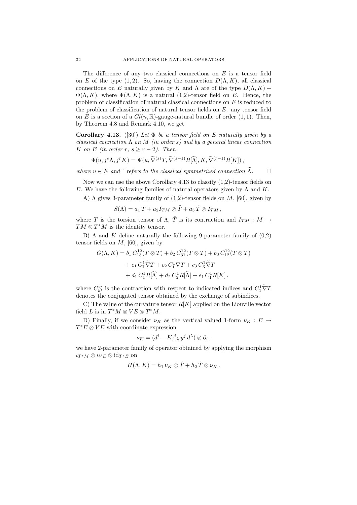The difference of any two classical connections on  $E$  is a tensor field on E of the type (1, 2). So, having the connection  $D(\Lambda, K)$ , all classical connections on E naturally given by K and  $\Lambda$  are of the type  $D(\Lambda, K)$  +  $\Phi(\Lambda, K)$ , where  $\Phi(\Lambda, K)$  is a natural (1,2)-tensor field on E. Hence, the problem of classification of natural classical connections on E is reduced to the problem of classification of natural tensor fields on E. any tensor field on E is a section of a  $Gl(n,\mathbb{R})$ -gauge-natural bundle of order  $(1,1)$ . Then, by Theorem 4.8 and Remark 4.10, we get

Corollary 4.13. ([30]) Let  $\Phi$  be a tensor field on E naturally given by a classical connection  $\Lambda$  on  $M$  (in order s) and by a general linear connection K on E (in order r,  $s \ge r - 2$ ). Then

$$
\Phi(u, j^s \Lambda, j^r K) = \Psi(u, \widetilde{\nabla}^{(s)} T, \widetilde{\nabla}^{(s-1)} R[\widetilde{\Lambda}], K, \widetilde{\nabla}^{(r-1)} R[K]),
$$

where  $u \in E$  and  $\tilde{\tau}$  refers to the classical symmetrized connection  $\tilde{\Lambda}$ .

Now we can use the above Corollary 4.13 to classify (1,2)-tensor fields on E. We have the following families of natural operators given by  $\Lambda$  and K.

A)  $\Lambda$  gives 3-parameter family of (1,2)-tensor fields on  $M$ , [60], given by

$$
S(\Lambda) = a_1 T + a_2 I_{TM} \otimes \hat{T} + a_3 \hat{T} \otimes I_{TM},
$$

where T is the torsion tensor of  $\Lambda$ ,  $\hat{T}$  is its contraction and  $I_{TM}: M \to$  $TM \otimes T^*M$  is the identity tensor.

B)  $\Lambda$  and  $K$  define naturally the following 9-parameter family of  $(0,2)$ tensor fields on  $M$ , [60], given by

$$
G(\Lambda, K) = b_1 C_{13}^{12}(T \otimes T) + b_2 C_{31}^{12}(T \otimes T) + b_3 C_{12}^{12}(T \otimes T)
$$
  
+ 
$$
c_1 C_1^1 \widetilde{\nabla} T + c_2 \overline{C_1^1 \widetilde{\nabla} T} + c_3 C_3^1 \widetilde{\nabla} T
$$
  
+ 
$$
d_1 C_1^1 R[\widetilde{\Lambda}] + d_2 C_2^1 R[\widetilde{\Lambda}] + e_1 C_1^1 R[K],
$$

where  $C_{kl}^{ij}$  is the contraction with respect to indicated indices and  $C_1^1 \tilde{\nabla} T$ denotes the conjugated tensor obtained by the exchange of subindices.

C) The value of the curvature tensor  $R[K]$  applied on the Liouville vector field L is in  $T^*M \otimes VE \otimes T^*M$ .

D) Finally, if we consider  $\nu_K$  as the vertical valued 1-form  $\nu_K : E \to$  $T^*E \otimes VE$  with coordinate expression

$$
\nu_K = (d^i - K_j{}^i{}_ \lambda \, y^j \, d^{\lambda}) \otimes \partial_i \,,
$$

we have 2-parameter family of operator obtained by applying the morphism  $\iota_{T^*M}\otimes\iota_{VE}\otimes{\rm id}_{T^*E}$  on

$$
H(\Lambda, K) = h_1 \nu_K \otimes \hat{T} + h_2 \hat{T} \otimes \nu_K.
$$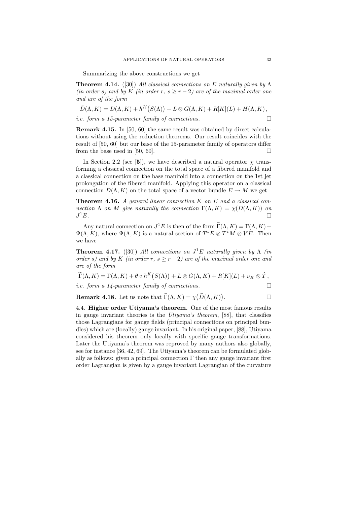Summarizing the above constructions we get

**Theorem 4.14.** ([30]) All classical connections on E naturally given by  $\Lambda$ (in order s) and by K (in order r,  $s \ge r - 2$ ) are of the maximal order one and are of the form

$$
\widetilde{D}(\Lambda, K) = D(\Lambda, K) + h^K(S(\Lambda)) + L \otimes G(\Lambda, K) + R[K](L) + H(\Lambda, K),
$$
  
i.e. form a 15-parameter family of connections.

Remark 4.15. In [50, 60] the same result was obtained by direct calculations without using the reduction theorems. Our result coincides with the result of [50, 60] but our base of the 15-parameter family of operators differ from the base used in [50, 60].

In Section 2.2 (see [5]), we have described a natural operator  $\chi$  transforming a classical connection on the total space of a fibered manifold and a classical connection on the base manifold into a connection on the 1st jet prolongation of the fibered manifold. Applying this operator on a classical connection  $D(\Lambda, K)$  on the total space of a vector bundle  $E \to M$  we get

**Theorem 4.16.** A general linear connection  $K$  on  $E$  and a classical connection  $\Lambda$  on M give naturally the connection  $\Gamma(\Lambda, K) = \chi(D(\Lambda, K))$  on  $J^1E$ .  $E$ .

Any natural connection on  $J^1E$  is then of the form  $\tilde{\Gamma}(\Lambda, K) = \Gamma(\Lambda, K) +$  $\Psi(\Lambda, K)$ , where  $\Psi(\Lambda, K)$  is a natural section of  $T^*E \otimes T^*M \otimes VE$ . Then we have

**Theorem 4.17.** ([30]) All connections on  $J<sup>1</sup>E$  naturally given by  $\Lambda$  (in order s) and by K (in order r,  $s \ge r - 2$ ) are of the maximal order one and are of the form

 $\widetilde{\Gamma}(\Lambda,K)=\Gamma(\Lambda,K)+\theta\circ h^K\big(S(\Lambda)\big)+L\otimes G(\Lambda,K)+R[K](L)+\nu_K\otimes\hat{T}\,,$ 

*i.e.* form a 14-parameter family of connections.

**Remark 4.18.** Let us note that  $\Gamma(\Lambda, K) = \chi(D(\Lambda, K))$ . — Первый проста проста проста проста проста проста проста проста проста проста проста проста проста проста п<br>В 1990 году стала проста проста проста проста проста проста проста проста проста проста проста проста проста п

4.4. Higher order Utivama's theorem. One of the most famous results in gauge invariant theories is the Utiyama's theorem, [88], that classifies those Lagrangians for gauge fields (principal connections on principal bundles) which are (locally) gauge invariant. In his original paper, [88], Utiyama considered his theorem only locally with specific gauge transformations. Later the Utiyama's theorem was reproved by many authors also globally, see for instance [36, 42, 69]. The Utiyama's theorem can be formulated globally as follows: given a principal connection  $\Gamma$  then any gauge invariant first order Lagrangian is given by a gauge invariant Lagrangian of the curvature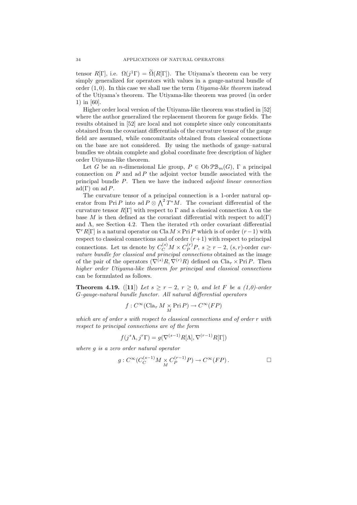tensor  $R[\Gamma]$ , i.e.  $\Omega(j^{1}\Gamma) = \Omega(R[\Gamma])$ . The Utiyama's theorem can be very simply generalized for operators with values in a gauge-natural bundle of order  $(1, 0)$ . In this case we shall use the term Utiyama-like theorem instead of the Utiyama's theorem. The Utiyama-like theorem was proved (in order 1) in [60].

Higher order local version of the Utiyama-like theorem was studied in [52] where the author generalized the replacement theorem for gauge fields. The results obtained in [52] are local and not complete since only concomitants obtained from the covariant differentials of the curvature tensor of the gauge field are assumed, while concomitants obtained from classical connections on the base are not considered. By using the methods of gauge–natural bundles we obtain complete and global coordinate free description of higher order Utiyama-like theorem.

Let G be an *n*-dimensional Lie group,  $P \in ObPB<sub>m</sub>(G)$ , Γ a principal connection on  $P$  and ad  $P$  the adjoint vector bundle associated with the principal bundle  $P$ . Then we have the induced *adjoint linear connection* ad(Γ) on ad P.

The curvature tensor of a principal connection is a 1-order natural operator from Pri P into ad  $P \otimes \Lambda^2 T^*M$ . The covariant differential of the curvature tensor  $R[\Gamma]$  with respect to  $\Gamma$  and a classical connection  $\Lambda$  on the base M is then defined as the covariant differential with respect to  $\text{ad}(\Gamma)$ and  $\Lambda$ , see Section 4.2. Then the iterated rth order covariant differential  $\nabla^rR[\Gamma]$  is a natural operator on Cla  $M \times \text{Pri } P$  which is of order  $(r-1)$  with respect to classical connections and of order  $(r+1)$  with respect to principal connections. Let us denote by  $C_C^{(s)}M \times C_P^{(r)}P, s \ge r-2, (s,r)$ -order curvature bundle for classical and principal connections obtained as the image of the pair of the operators  $(\nabla^{(s)}R, \nabla^{(r)}R)$  defined on  $\text{Cla}_{\tau} \times \text{Pri } P$ . Then higher order Utiyama-like theorem for principal and classical connections can be formulated as follows.

**Theorem 4.19.** ([11]) Let  $s \ge r-2$ ,  $r \ge 0$ , and let F be a (1,0)-order G-gauge-natural bundle functor. All natural differential operators

$$
f: C^\infty(\operatorname{Cla}_\tau M \underset{M}{\times} \operatorname{Pri} P) \to C^\infty(FP)
$$

which are of order s with respect to classical connections and of order r with respect to principal connections are of the form

$$
f(j^{s}\Lambda, j^{r}\Gamma) = g(\nabla^{(s-1)}R[\Lambda], \nabla^{(r-1)}R[\Gamma])
$$

where g is a zero order natural operator

$$
g: C^{\infty}(C_C^{(s-1)}M \underset{M}{\times} C_P^{(r-1)}P) \to C^{\infty}(FP).
$$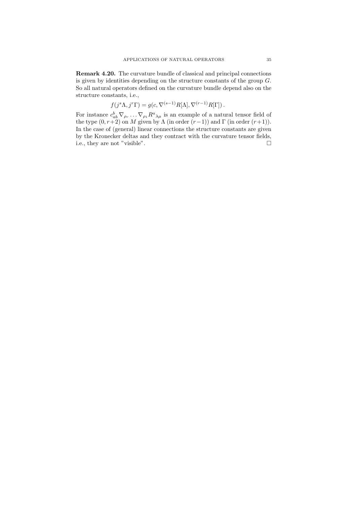Remark 4.20. The curvature bundle of classical and principal connections is given by identities depending on the structure constants of the group  $G$ . So all natural operators defined on the curvature bundle depend also on the structure constants, i.e.,

$$
f(j^{s}\Lambda, j^{r}\Gamma) = g(c, \nabla^{(s-1)}R[\Lambda], \nabla^{(r-1)}R[\Gamma]).
$$

For instance  $c_{ab}^b \nabla_{\rho_r} \dots \nabla_{\rho_1} R^a{}_{\lambda \mu}$  is an example of a natural tensor field of the type  $(0, r+2)$  on M given by  $\Lambda$  (in order  $(r-1)$ ) and  $\Gamma$  (in order  $(r+1)$ ). In the case of (general) linear connections the structure constants are given by the Kronecker deltas and they contract with the curvature tensor fields, i.e., they are not "visible".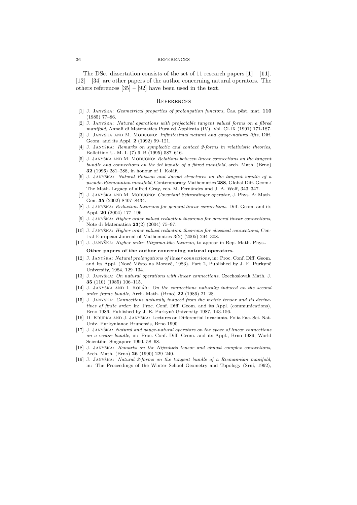The DSc. dissertation consists of the set of 11 research papers  $\mathbf{1}$  –  $\mathbf{11}$ . [12] – [34] are other papers of the author concerning natural operators. The others references [35] – [92] have been used in the text.

## **REFERENCES**

- [1] J. JANYŠKA: Geometrical properties of prolongation functors, Čas. pěst. mat. 110 (1985) 77–86.
- [2] J. JANYŠKA: Natural operations with projectable tangent valued forms on a fibred manifold, Annali di Matematica Pura ed Applicata (IV), Vol. CLIX (1991) 171-187.
- [3] J. JANYŠKA AND M. MODUGNO: Infinitesimal natural and gauge-natural lifts, Diff. Geom. and its Appl. 2 (1992) 99–121.
- [4] J. JANYŠKA: Remarks on symplectic and contact 2-forms in relativistic theories, Bollettino U. M. I. (7) 9–B (1995) 587–616.
- [5] J. JANYŠKA AND M. MODUGNO: Relations between linear connections on the tangent bundle and connections on the jet bundle of a fibred manifold, arch. Math. (Brno) 32 (1996) 281–288, in honour of I. Kolář.
- [6] J. Janyˇska: Natural Poisson and Jacobi structures on the tangent bundle of a pseudo-Riemannian manifold, Contemporary Mathematics 288, Global Diff. Geom.: The Math. Legacy of alfred Gray, eds. M. Fernándes and J. A. Wolf, 343–347.
- [7] J. JANYŠKA AND M. MODUGNO: Covariant Schroedinger operator, J. Phys. A: Math. Gen. 35 (2002) 8407–8434.
- [8] J. JANYŠKA: Reduction theorems for general linear connections, Diff. Geom. and its Appl. 20 (2004) 177–196.
- J. JANYŠKA: Higher order valued reduction theorems for general linear connections, Note di Matematica 23(2) (2004) 75–97.
- [10] J. JANYŠKA: Higher order valued reduction theorems for classical connections, Central European Journal of Mathematics 3(2) (2005) 294–308.
- [11] J. JANYŠKA: *Higher order Utiyama-like theorem*, to appear in Rep. Math. Phys..

#### Other papers of the author concerning natural operators.

- [12] J. JANYŠKA: Natural prolongations of linear connections, in: Proc. Conf. Diff. Geom. and Its Appl. (Nové Město na Moravě, 1983), Part 2, Published by J. E. Purkyně University, 1984, 129–134.
- [13] J. JANYŠKA: On natural operations with linear connections, Czechoslovak Math. J. 35 (110) (1985) 106–115.
- [14] J. JANYŠKA AND I. KOLÁŘ: On the connections naturally induced on the second order frame bundle, Arch. Math. (Brno) 22 (1986) 21–28.
- [15] J. JANYŠKA: Connections naturally induced from the metric tensor and its derivatives of finite order, in: Proc. Conf. Diff. Geom. and its Appl. (communications), Brno 1986, Published by J. E. Purkyně University 1987, 143-156.
- [16] D. KRUPKA AND J. JANYŠKA: Lectures on Differential Invariants, Folia Fac. Sci. Nat. Univ. Purkynianae Brunensis, Brno 1990.
- [17] J. JANYŠKA: Natural and gauge-natural operators on the space of linear connections on a vector bundle, in: Proc. Conf. Diff. Geom. and its Appl., Brno 1989, World Scientific, Singapore 1990, 58–68.
- [18] J. JANYŠKA: Remarks on the Nijenhuis tensor and almost complex connections, Arch. Math. (Brno) 26 (1990) 229–240.
- [19] J. JANYŠKA: Natural 2-forms on the tangent bundle of a Riemannian manifold, in: The Proceedings of the Winter School Geometry and Topology (Srní, 1992),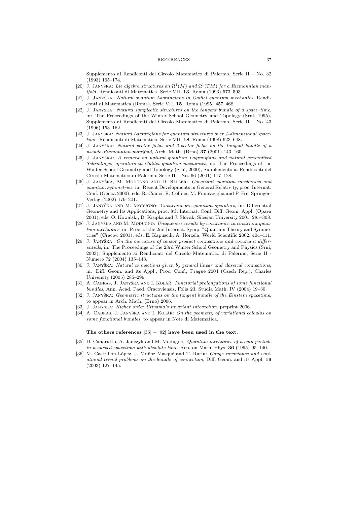Supplemento ai Rendiconti del Circolo Matematico di Palermo, Serie II – No. 32 (1993) 165–174.

- [20] J. Janyška: Lie algebra structures on  $\Omega^1(M)$  and  $\Omega^1(TM)$  for a Riemannian manifold, Rendiconti di Matematica, Serie VII, 13, Roma (1993) 573–593.
- [21] J. JANYŠKA: Natural quantum Lagrangians in Galilei quantum mechanics, Rendiconti di Matematica (Roma), Serie VII, 15, Roma (1995) 457–468.
- $[22]$  J. JANYŠKA: Natural symplectic structures on the tangent bundle of a space–time, in: The Proceedings of the Winter School Geometry and Topology (Srní, 1995), Supplemento ai Rendiconti del Circolo Matematico di Palermo, Serie II – No. 43 (1996) 153–162.
- [23] J. JANYŠKA: Natural Lagrangians for quantum structures over 4-dimensional spacetime, Rendiconti di Matematica, Serie VII, 18, Roma (1998) 623–648.
- [24] J. JANYŠKA: Natural vector fields and 2-vector fields on the tangent bundle of a pseudo-Riemannian manifold, Arch. Math. (Brno) 37 (2001) 143–160.
- [25] J. JANYŠKA: A remark on natural quantum Lagrangians and natural generalized Schrödinger operators in Galilei quantum mechanics, in: The Proceedings of the Winter School Geometry and Topology (Srní, 2000), Supplemento ai Rendiconti del Circolo Matematico di Palermo, Serie II – No. 66 (2001) 117–128.
- [26] J. JANYŠKA, M. MODUGNO AND D. SALLER: Covariant quantum mechanics and quantum symmetries, in: Recent Developments in General Relativity, proc. Internat. Conf. (Genoa 2000), eds. R. Cianci, R. Collina, M. Francaviglia and P. Fre, Springer-Verlag (2002) 179–201.
- [27] J. JANYŠKA AND M. MODUGNO: Covariant pre-quantum operators, in: Differential Geometry and Its Applications, proc. 8th Internat. Conf. Diff. Geom. Appl. (Opava 2001), eds. O. Kowalski, D. Krupka and J. Slovák, Silesian University 2001, 285–308.
- [28] J. JANYŠKA AND M. MODUGNO: Uniqueness results by covariance in covariant quantum mechanics, in: Proc. of the 2nd Internat. Symp. "Quantum Theory and Symmetries" (Cracow 2001), eds. E. Kapuscik, A. Horzela, World Scientific 2002, 404–411.
- [29] J. JANYŠKA: On the curvature of tensor product connections and covariant differentials, in: The Proceedings of the 23rd Winter School Geometry and Physics (Srní, 2003), Supplemento ai Rendiconti del Circolo Matematico di Palermo, Serie II - Numero 72 (2004) 135–143.
- [30] J. JANYŠKA: Natural connections given by general linear and classical connections, in: Diff. Geom. and its Appl., Proc. Conf., Prague 2004 (Czech Rep.), Charles University (2005) 285–299.
- [31] A. CABRAS, J. JANYŠKA AND I. KOLÁŘ: Functorial prolongations of some functional bundles, Ann. Acad. Paed. Cracoviensis, Folia 23, Studia Math. IV (2004) 19–30.
- [32] J. JANYŠKA: Geometric structures on the tangent bundle of the Einstein spacetime, to appear in Arch. Math. (Brno) 2006.
- [33] J. Janyˇska: Higher order Utiyama's invariant interaction, preprint 2006.
- [34] A. CABRAS, J. JANYŠKA AND I. KOLÁŘ: On the geometry of variational calculus on some functional bundles, to appear in Note di Matematica.

#### The others references  $[35] - [92]$  have been used in the text.

- [35] D. Canarutto, A. Jadczyk and M. Modugno: Quantum mechanics of a spin particle in a curved spacetime with absolute time, Rep. on Math. Phys. 36 (1995) 95-140.
- [36] M. Castrillón López, J. Muñoz Masqué and T. Ratiu: *Gauge invariance and vari*ational trivial problems on the bundle of connection, Diff. Geom. and its Appl. 19 (2003) 127–145.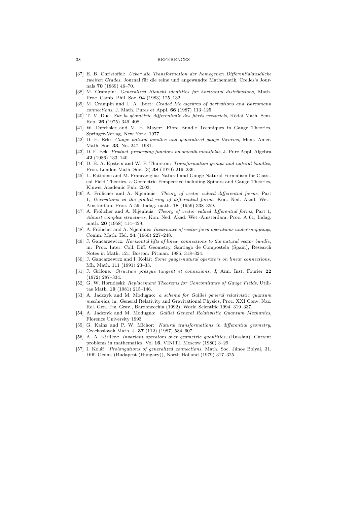- [37] E. B. Christoffel: *Ueber die Transformation der homogenen Differentialausdücke* zweiten Grades, Journal für die reine und angewandte Mathematik, Crelles's Journals 70 (1869) 46–70.
- [38] M. Crampin: Generalized Bianchi identities for horizontal distributions, Math. Proc. Camb. Phil. Soc. 94 (1983) 125–132.
- [39] M. Crampin and L. A. Ibort: Graded Lie algebras of derivations and Ehresmann connections, J. Math. Pures et Appl. 66 (1987) 113–125.
- [40] T. V. Duc: Sur la géométrie differentielle des fibrés vectoriels, Ködai Math. Sem. Rep. 26 (1975) 349–408.
- [41] W. Drechsler and M. E. Mayer: Fibre Bundle Techniques in Gauge Theories, Springer-Verlag, New York, 1977.
- [42] D. E. Eck: Gauge–natural bundles and generalized gauge theories, Mem. Amer. Math. Soc. 33, No. 247, 1981.
- [43] D. E. Eck: Product–preserving functors on smooth manifolds, J. Pure Appl. Algebra 42 (1986) 133–140.
- [44] D. B. A. Epstein and W. P. Thurston: Transformation groups and natural bundles, Proc. London Math. Soc. (3) 38 (1979) 219–236.
- [45] L. Fatibene and M. Francaviglia: Natural and Gauge Natural Formalism for Classical Field Theories, a Geometric Perspective including Spinors and Gauge Theories, Kluwer Academic Pub. 2003.
- [46] A. Frölicher and A. Nijenhuis: Theory of vector valued differential forms, Part 1, Derivations in the graded ring of differential forms, Kon. Ned. Akad. Wet.- Amsterdam, Proc. A 59, Indag. math. 18 (1956) 338–359.
- [47] A. Frölicher and A. Nijenhuis: Theory of vector valued differential forms, Part 1, Almost complex structures, Kon. Ned. Akad. Wet.-Amsterdam, Proc. A 61, Indag. math. 20 (1958) 414–429.
- [48] A. Frölicher and A. Nijenhuis: Invariance of vector form operations under mappings, Comm. Math. Hel. 34 (1960) 227–248.
- [49] J. Gancarzewicz: Horizontal lifts of linear connections to the natural vector bundle, in: Proc. Inter. Coll. Diff. Geometry, Santiago de Compostela (Spain), Research Notes in Math. 121, Boston: Pitman. 1985, 318–324.
- [50] J. Gancarzewicz and I. Kolář: Some gauge-natural operators on linear connections, Mh. Math. 111 (1991) 23–33.
- [51] J. Grifone: Structure presque tangent et connexions, I, Ann. Inst. Fourier 22 (1972) 287–334.
- [52] G. W. Horndeski: Replacement Theorems for Concomitants of Gauge Fields, Utilitas Math. 19 (1981) 215–146.
- [53] A. Jadczyk and M. Modugno: a scheme for Galilei general relativistic quantum mechanics, in: General Relativity and Gravitational Physics, Proc. XXI Conv. Naz. Rel. Gen. Fiz. Grav., Bardonecchia (1992), World Scientific 1994, 319–337.
- [54] A. Jadczyk and M. Modugno: Galilei General Relativistic Quantum Mechanics, Florence University 1993.
- [55] G. Kainz and P. W. Michor: Natural transformations in differential geometry, Czechoslovak Math. J. 37 (112) (1987) 584–607.
- [56] A. A. Kirillov: Invariant operators over geometric quantities, (Russian), Current problems in mathematics, Vol 16, VINITI, Moscow (1980) 3–29.
- [57] I. Kolář: Prolongations of generalized connections, Math. Soc. János Bolyai, 31. Diff. Geom. (Budapest (Hungary)), North Holland (1979) 317–325.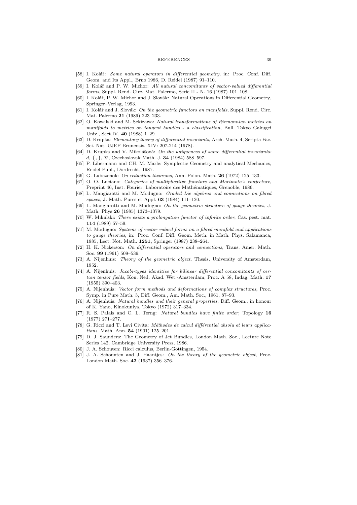- [58] I. Kolář: Some natural operators in differential geometry, in: Proc. Conf. Diff. Geom. and Its Appl., Brno 1986, D. Reidel (1987) 91–110.
- [59] I. Kolář and P. W. Michor: All natural concomitants of vector-valued differential forms, Suppl. Rend. Circ. Mat. Palermo, Serie II - N. 16 (1987) 101–108.
- [60] I. Kolář, P. W. Michor and J. Slovák: Natural Operations in Differential Geometry, Springer–Verlag, 1993.
- [61] I. Kolář and J. Slovák: On the geometric functors on manifolds, Suppl. Rend. Circ. Mat. Palermo 21 (1989) 223–233.
- [62] O. Kowalski and M. Sekizawa: Natural transformations of Riemannian metrics on manifolds to metrics on tangent bundles - a classification, Bull. Tokyo Gakugei Univ., Sect.IV, 40 (1988) 1–29.
- [63] D. Krupka: Elementary theory of differential invariants, Arch. Math. 4, Scripta Fac. Sci. Nat. UJEP Brunensis, XIV: 207-214 (1978).
- $[64]$  D. Krupka and V. Mikolášová: On the uniqueness of some differential invariants: d,  $\{ , \}$ ,  $\nabla$ , Czechoslovak Math. J. **34** (1984) 588–597.
- [65] P. Libermann and CH. M. Marle: Symplectic Geometry and analytical Mechanics, Reidel Publ., Dordrecht, 1987.
- [66] G. Lubczonok: On reduction theorems, Ann. Polon. Math. 26 (1972) 125–133.
- [67] O. O. Luciano: Categories of multiplicative functors and Morimoto's conjecture, Preprint 46, Inst. Fourier, Laboratoire des Mathématiques, Grenoble, 1986.
- [68] L. Mangiarotti and M. Modugno: Graded Lie algebras and connections on fibred spaces, J. Math. Pures et Appl. 63 (1984) 111–120.
- [69] L. Mangiarotti and M. Modugno: On the geometric structure of gauge theories, J. Math. Phys 26 (1985) 1373–1379.
- [70] W. Mikulski: There exists a prolongation functor of infinite order, Cas. pěst. mat. 114 (1989) 57–59.
- [71] M. Modugno: Systems of vector valued forms on a fibred manifold and applications to gauge theories, in: Proc. Conf. Diff. Geom. Meth. in Math. Phys. Salamanca, 1985, Lect. Not. Math. 1251, Springer (1987) 238–264.
- [72] H. K. Nickerson: On differential operators and connections, Trans. Amer. Math. Soc. 99 (1961) 509–539.
- [73] A. Nijenhuis: Theory of the geometric object, Thesis, University of Amsterdam, 1952.
- [74] A. Nijenhuis: Jacobi-types identities for bilinear differential concomitants of certain tensor fields, Kon. Ned. Akad. Wet.-Amsterdam, Proc. A 58, Indag. Math. 17 (1955) 390–403.
- [75] A. Nijenhuis: Vector form methods and deformations of complex structures, Proc. Symp. in Pure Math. 3, Diff. Geom., Am. Math. Soc., 1961, 87–93.
- [76] A. Nijenhuis: Natural bundles and their general properties, Diff. Geom., in honour of K. Yano, Kinokuniya, Tokyo (1972) 317–334.
- [77] R. S. Palais and C. L. Terng: Natural bundles have finite order, Topology 16 (1977) 271–277.
- [78] G. Ricci and T. Levi Civita: Méthodes de calcul différentiel absolu et leurs applications, Math. Ann. 54 (1901) 125–201.
- [79] D. J. Saunders: The Geometry of Jet Bundles, London Math. Soc., Lecture Note Series 142, Cambridge University Press, 1986.
- [80] J. A. Schouten: Ricci calculus, Berlin-Göttingen, 1954.
- [81] J. A. Schounten and J. Haantjes: On the theory of the geometric object, Proc. London Math. Soc. 42 (1937) 356–376.